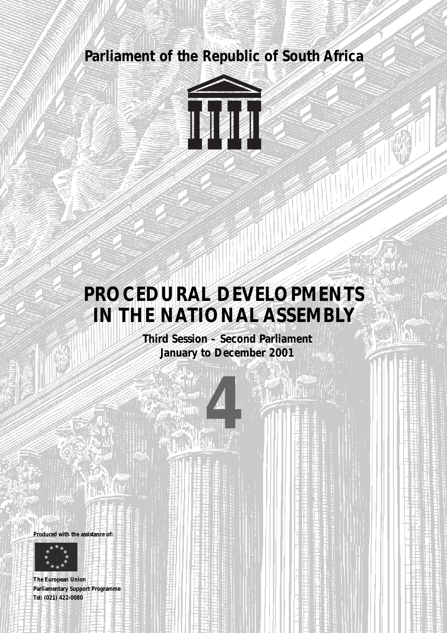



# **PROCEDURAL DEVELOPMENTS IN THE NATIONAL ASSEMBLY**

**Third Session – Second Parliament January to December 2001**

**4** 





**The European Union Parliamentary Support Programme Tel: (021) 422-0080**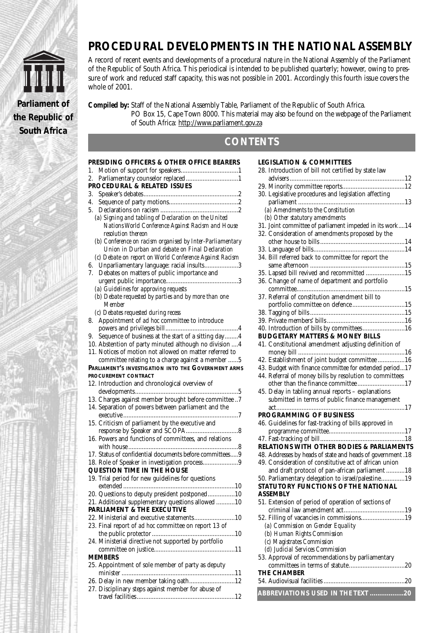



A record of recent events and developments of a procedural nature in the National Assembly of the Parliament of the Republic of South Africa. This periodical is intended to be published quarterly; however, owing to pressure of work and reduced staff capacity, this was not possible in 2001. Accordingly this fourth issue covers the whole of 2001.

**Compiled by:** Staff of the National Assembly Table, Parliament of the Republic of South Africa. PO Box 15, Cape Town 8000. This material may also be found on the webpage of the Parliament of South Africa: http://www.parliament.gov.za

# **CONTENTS**

| PRESIDING OFFICERS & OTHER OFFICE BEARERS                 |
|-----------------------------------------------------------|
|                                                           |
| 2.                                                        |
| PROCEDURAL & RELATED ISSUES                               |
| 3.                                                        |
| 4.                                                        |
| 5.                                                        |
| (a) Signing and tabling of Declaration on the United      |
| Nations World Conference Against Racism and House         |
| resolution thereon                                        |
| (b) Conference on racism organised by Inter-Parliamentary |
| Union in Durban and debate on Final Declaration           |
| (c) Debate on report on World Conference Against Racism   |
| 6. Unparliamentary language: racial insults3              |
| Debates on matters of public importance and<br>7.         |
|                                                           |
| (a) Guidelines for approving requests                     |
| (b) Debate requested by parties and by more than one      |
| Member                                                    |
| (c) Debates requested during recess                       |
| 8. Appointment of ad hoc committee to introduce           |
|                                                           |
| 9. Sequence of business at the start of a sitting day4    |
| 10. Abstention of party minuted although no division  4   |
| 11. Notices of motion not allowed on matter referred to   |
| committee relating to a charge against a member 5         |
| PARLIAMENT'S INVESTIGATION INTO THE GOVERNMENT ARMS       |
| PROCUREMENT CONTRACT                                      |
| 12. Introduction and chronological overview of            |
|                                                           |
| 13. Charges against member brought before committee 7     |
| 14. Separation of powers between parliament and the       |
|                                                           |
| 15. Criticism of parliament by the executive and          |
|                                                           |
| 16. Powers and functions of committees, and relations     |
|                                                           |
| 17. Status of confidential documents before committees9   |
| 18. Role of Speaker in investigation process9             |
| QUESTION TIME IN THE HOUSE                                |
| 19. Trial period for new guidelines for questions         |
|                                                           |
| 20. Questions to deputy president postponed10             |
| 21. Additional supplementary questions allowed 10         |
| PARLIAMENT & THE EXECUTIVE                                |
| 22. Ministerial and executive statements10                |
| 23. Final report of ad hoc committee on report 13 of      |
|                                                           |
| 24. Ministerial directive not supported by portfolio      |
|                                                           |
|                                                           |
| <b>MFMBFRS</b>                                            |
| 25. Appointment of sole member of party as deputy         |
| 26. Delay in new member taking oath12                     |

27. Disciplinary steps against member for abuse of travel facilities..........................................................12

| <b>LEGISLATION &amp; COMMITTEES</b>                         |
|-------------------------------------------------------------|
| 28. Introduction of bill not certified by state law         |
|                                                             |
|                                                             |
| 30. Legislative procedures and legislation affecting        |
|                                                             |
| (a) Amendments to the Constitution                          |
| (b) Other statutory amendments                              |
|                                                             |
| 31. Joint committee of parliament impeded in its work14     |
| 32. Consideration of amendments proposed by the             |
|                                                             |
|                                                             |
| 34. Bill referred back to committee for report the          |
|                                                             |
| 35. Lapsed bill revived and recommitted 15                  |
| 36. Change of name of department and portfolio              |
|                                                             |
| 37. Referral of constitution amendment bill to              |
| portfolio committee on defence15                            |
|                                                             |
|                                                             |
|                                                             |
| 40. Introduction of bills by committees16                   |
| <b>BUDGETARY MATTERS &amp; MONEY BILLS</b>                  |
| 41. Constitutional amendment adjusting definition of        |
|                                                             |
| 42. Establishment of joint budget committee 16              |
| 43. Budget with finance committee for extended period17     |
| 44. Referral of money bills by resolution to committees     |
| other than the finance committee17                          |
| 45. Delay in tabling annual reports - explanations          |
| submitted in terms of public finance management             |
|                                                             |
| PROGRAMMING OF BUSINESS                                     |
| 46. Guidelines for fast-tracking of bills approved in       |
|                                                             |
|                                                             |
|                                                             |
| RELATIONS WITH OTHER BODIES & PARLIAMENTS                   |
| 48. Addresses by heads of state and heads of government .18 |
| 49. Consideration of constitutive act of african union      |
| and draft protocol of pan-african parliament 18             |
| 50. Parliamentary delegation to israel/palestine19          |
| STATUTORY FUNCTIONS OF THE NATIONAL                         |
| <b>ASSEMBLY</b>                                             |
| 51. Extension of period of operation of sections of         |
|                                                             |
| 52. Filling of vacancies in commissions19                   |
|                                                             |
| (a) Commission on Gender Equality                           |
| (b) Human Rights Commission                                 |
| (c) Magistrates Commission                                  |
| (d) Judicial Services Commission                            |
| 53. Approval of recommendations by parliamentary            |
|                                                             |
| <b>THE CHAMBER</b>                                          |
|                                                             |
|                                                             |
| ABBREVIATIONS USED IN THE TEXT 20                           |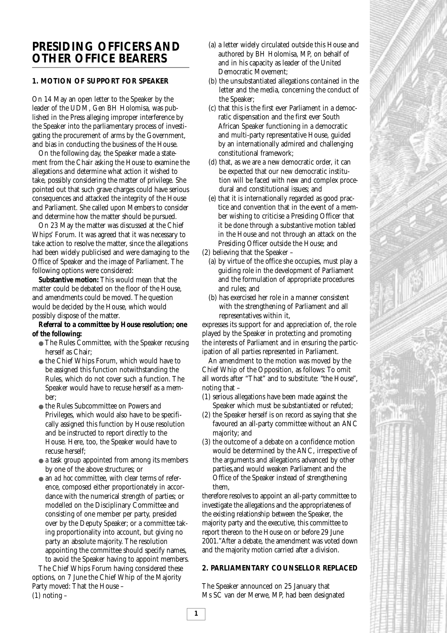# **PRESIDING OFFICERS AND OTHER OFFICE BEARERS**

# **1. MOTION OF SUPPORT FOR SPEAKER**

On 14 May an open letter to the Speaker by the leader of the UDM, Gen BH Holomisa, was published in the Press alleging improper interference by the Speaker into the parliamentary process of investigating the procurement of arms by the Government, and bias in conducting the business of the House.

On the following day, the Speaker made a statement from the Chair asking the House to examine the allegations and determine what action it wished to take, possibly considering the matter of privilege. She pointed out that such grave charges could have serious consequences and attacked the integrity of the House and Parliament. She called upon Members to consider and determine how the matter should be pursued.

On 23 May the matter was discussed at the Chief Whips' Forum. It was agreed that it was necessary to take action to resolve the matter, since the allegations had been widely publicised and were damaging to the Office of Speaker and the image of Parliament. The following options were considered:

**Substantive motion:** This would mean that the matter could be debated on the floor of the House, and amendments could be moved. The question would be decided by the House, which would possibly dispose of the matter.

**Referral to a committee by House resolution; one of the following:**

- The Rules Committee, with the Speaker recusing herself as Chair;
- the Chief Whips Forum, which would have to be assigned this function notwithstanding the Rules, which do not cover such a function. The Speaker would have to recuse herself as a member;
- the Rules Subcommittee on Powers and Privileges, which would also have to be specifically assigned this function by House resolution and be instructed to report directly to the House. Here, too, the Speaker would have to recuse herself;
- a task group appointed from among its members by one of the above structures; or
- an *ad hoc* committee, with clear terms of reference, composed either proportionately in accordance with the numerical strength of parties; or modelled on the Disciplinary Committee and consisting of one member per party, presided over by the Deputy Speaker; or a committee taking proportionality into account, but giving no party an absolute majority. The resolution appointing the committee should specify names, to avoid the Speaker having to appoint members.

The Chief Whips Forum having considered these options, on 7 June the Chief Whip of the Majority Party moved: That the House –  $(1)$  noting  $-$ 

- (a) a letter widely circulated outside this House and authored by BH Holomisa, MP, on behalf of and in his capacity as leader of the United Democratic Movement;
- (b) the unsubstantiated allegations contained in the letter and the media, concerning the conduct of the Speaker;
- (c) that this is the first ever Parliament in a democratic dispensation and the first ever South African Speaker functioning in a democratic and multi-party representative House, guided by an internationally admired and challenging constitutional framework;
- (d) that, as we are a new democratic order, it can be expected that our new democratic institution will be faced with new and complex procedural and constitutional issues; and
- (e) that it is internationally regarded as good practice and convention that in the event of a member wishing to criticise a Presiding Officer that it be done through a substantive motion tabled in the House and not through an attack on the Presiding Officer outside the House; and

(2) believing that the Speaker –

- (a) by virtue of the office she occupies, must play a guiding role in the development of Parliament and the formulation of appropriate procedures and rules; and
- (b) has exercised her role in a manner consistent with the strengthening of Parliament and all representatives within it,

expresses its support for and appreciation of, the role played by the Speaker in protecting and promoting the interests of Parliament and in ensuring the participation of all parties represented in Parliament.

An amendment to the motion was moved by the Chief Whip of the Opposition, as follows: To omit all words after "That" and to substitute: "the House", noting that –

- (1) serious allegations have been made against the Speaker which must be substantiated or refuted;
- (2) the Speaker herself is on record as saying that she favoured an all-party committee without an ANC majority; and
- (3) the outcome of a debate on a confidence motion would be determined by the ANC, irrespective of the arguments and allegations advanced by other parties,and would weaken Parliament and the Office of the Speaker instead of strengthening them,

therefore resolves to appoint an all-party committee to investigate the allegations and the appropriateness of the existing relationship between the Speaker, the majority party and the executive, this committee to report thereon to the House on or before 29 June 2001."After a debate, the amendment was voted down and the majority motion carried after a division.

# **2. PARLIAMENTARY COUNSELLOR REPLACED**

The Speaker announced on 25 January that Ms SC van der Merwe, MP, had been designated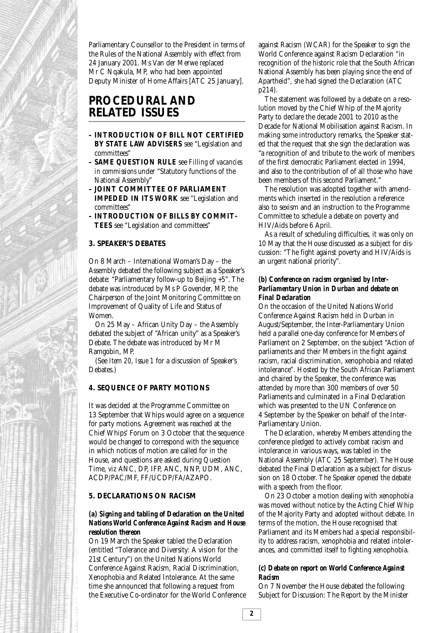Parliamentary Counsellor to the President in terms of the Rules of the National Assembly with effect from 24 January 2001. Ms Van der Merwe replaced Mr C Nqakula, MP, who had been appointed Deputy Minister of Home Affairs [ATC 25 January].

# **PROCEDURAL AND RELATED ISSUES**

- **INTRODUCTION OF BILL NOT CERTIFIED BY STATE LAW ADVISERS** see "Legislation and committees"
- **SAME QUESTION RULE** see *Filling of vacancies in commissions* under "Statutory functions of the National Assembly"
- **JOINT COMMITTEE OF PARLIAMENT IMPEDED IN ITS WORK** see "Legislation and committees"
- **INTRODUCTION OF BILLS BY COMMIT-TEES** see "Legislation and committees"

# **3. SPEAKER'S DEBATES**

On 8 March – International Woman's Day – the Assembly debated the following subject as a Speaker's debate: "Parliamentary follow-up to Beijing +5". The debate was introduced by Ms P Govender, MP, the Chairperson of the Joint Monitoring Committee on Improvement of Quality of Life and Status of Women.

On 25 May – African Unity Day – the Assembly debated the subject of "African unity" as a Speaker's Debate. The debate was introduced by Mr M Ramgobin, MP.

(See *Item 20, Issue 1* for a discussion of Speaker's Debates.)

#### **4. SEQUENCE OF PARTY MOTIONS**

It was decided at the Programme Committee on 13 September that Whips would agree on a sequence for party motions. Agreement was reached at the Chief Whips' Forum on 3 October that the sequence would be changed to correspond with the sequence in which notices of motion are called for in the House, and questions are asked during Question Time, *viz* ANC, DP, IFP, ANC, NNP, UDM, ANC, ACDP/PAC/MF, FF/UCDP/FA/AZAPO.

#### **5. DECLARATIONS ON RACISM**

#### *(a) Signing and tabling of Declaration on the United Nations World Conference Against Racism and House resolution thereon*

On 19 March the Speaker tabled the Declaration (entitled "Tolerance and Diversity: A vision for the 21st Century") on the United Nations World Conference Against Racism, Racial Discrimination, Xenophobia and Related Intolerance. At the same time she announced that following a request from the Executive Co-ordinator for the World Conference against Racism (WCAR) for the Speaker to sign the World Conference against Racism Declaration "in recognition of the historic role that the South African National Assembly has been playing since the end of Apartheid", she had signed the Declaration (ATC p214).

The statement was followed by a debate on a resolution moved by the Chief Whip of the Majority Party to declare the decade 2001 to 2010 as the Decade for National Mobilisation against Racism. In making some introductory remarks, the Speaker stated that the request that she sign the declaration was "a recognition of and tribute to the work of members of the first democratic Parliament elected in 1994, and also to the contribution of of all those who have been members of this second Parliament."

The resolution was adopted together with amendments which inserted in the resolution a reference also to sexism and an instruction to the Programme Committee to schedule a debate on poverty and HIV/Aids before 6 April.

As a result of scheduling difficulties, it was only on 10 May that the House discussed as a subject for discussion: "The fight against poverty and HIV/Aids is an urgent national priority".

#### *(b) Conference on racism organised by Inter-Parliamentary Union in Durban and debate on Final Declaration*

On the occasion of the United Nations World Conference Against Racism held in Durban in August/September, the Inter-Parliamentary Union held a parallel one-day conference for Members of Parliament on 2 September, on the subject "Action of parliaments and their Members in the fight against racism, racial discrimination, xenophobia and related intolerance". Hosted by the South African Parliament and chaired by the Speaker, the conference was attended by more than 300 members of over 50 Parliaments and culminated in a Final Declaration which was presented to the UN Conference on 4 September by the Speaker on behalf of the Inter-Parliamentary Union.

The Declaration, whereby Members attending the conference pledged to actively combat racism and intolerance in various ways, was tabled in the National Assembly (ATC 25 September). The House debated the Final Declaration as a subject for discussion on 18 October. The Speaker opened the debate with a speech from the floor.

On 23 October a motion dealing with xenophobia was moved without notice by the Acting Chief Whip of the Majority Party and adopted without debate. In terms of the motion, the House recognised that Parliament and its Members had a special responsibility to address racism, xenophobia and related intolerances, and committed itself to fighting xenophobia.

#### *(c) Debate on report on World Conference Against Racism*

On 7 November the House debated the following Subject for Discussion: The Report by the Minister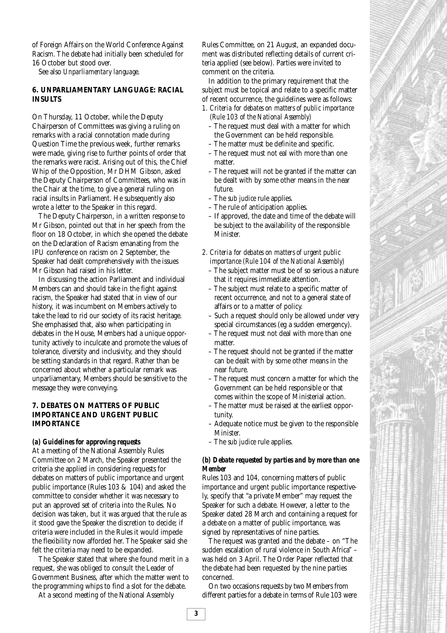of Foreign Affairs on the World Conference Against Racism. The debate had initially been scheduled for 16 October but stood over.

See also *Unparliamentary language*.

#### **6. UNPARLIAMENTARY LANGUAGE: RACIAL INSULTS**

On Thursday, 11 October, while the Deputy Chairperson of Committees was giving a ruling on remarks with a racial connotation made during Question Time the previous week, further remarks were made, giving rise to further points of order that the remarks were racist. Arising out of this, the Chief Whip of the Opposition, Mr DHM Gibson, asked the Deputy Chairperson of Committees, who was in the Chair at the time, to give a general ruling on racial insults in Parliament. He subsequently also wrote a letter to the Speaker in this regard.

The Deputy Chairperson, in a written response to Mr Gibson, pointed out that in her speech from the floor on 18 October, in which she opened the debate on the Declaration of Racism emanating from the IPU conference on racism on 2 September, the Speaker had dealt comprehensively with the issues Mr Gibson had raised in his letter.

In discussing the action Parliament and individual Members can and should take in the fight against racism, the Speaker had stated that in view of our history, it was incumbent on Members actively to take the lead to rid our society of its racist heritage. She emphasised that, also when participating in debates in the House, Members had a unique opportunity actively to inculcate and promote the values of tolerance, diversity and inclusivity, and they should be setting standards in that regard. Rather than be concerned about whether a particular remark was unparliamentary, Members should be sensitive to the message they were conveying.

### **7. DEBATES ON MATTERS OF PUBLIC IMPORTANCE AND URGENT PUBLIC IMPORTANCE**

#### *(a) Guidelines for approving requests*

At a meeting of the National Assembly Rules Committee on 2 March, the Speaker presented the criteria she applied in considering requests for debates on matters of public importance and urgent public importance (Rules 103 & 104) and asked the committee to consider whether it was necessary to put an approved set of criteria into the Rules. No decision was taken, but it was argued that the rule as it stood gave the Speaker the discretion to decide; if criteria were included in the Rules it would impede the flexibility now afforded her. The Speaker said she felt the criteria may need to be expanded.

The Speaker stated that where she found merit in a request, she was obliged to consult the Leader of Government Business, after which the matter went to the programming whips to find a slot for the debate.

At a second meeting of the National Assembly

Rules Committee, on 21 August, an expanded document was distributed reflecting details of current criteria applied (see below). Parties were invited to comment on the criteria.

In addition to the primary requirement that the subject must be topical and relate to a specific matter of recent occurrence, the guidelines were as follows:

- *1. Criteria for debates on matters of public importance (Rule 103 of the National Assembly)*
	- The request must deal with a matter for which the Government can be held responsible.
	- The matter must be definite and specific.
	- The request must not eal with more than one matter.
	- The request will not be granted if the matter can be dealt with by some other means in the near future.
	- The *sub judice* rule applies.
	- The rule of anticipation applies.
	- If approved, the date and time of the debate will be subject to the availability of the responsible Minister.
- *2. Criteria for debates on matters of urgent public importance (Rule 104 of the National Assembly)*
	- The subject matter must be of so serious a nature that it requires immediate attention.
	- The subject must relate to a specific matter of recent occurrence, and not to a general state of affairs or to a matter of policy.
	- Such a request should only be allowed under very special circumstances (eg a sudden emergency).
	- The request must not deal with more than one matter.
	- The request should not be granted if the matter can be dealt with by some other means in the near future.
	- The request must concern a matter for which the Government can be held responsible or that comes within the scope of Ministerial action.
	- The matter must be raised at the earliest opportunity.
	- Adequate notice must be given to the responsible Minister.
	- The *sub judice* rule applies.

### *(b) Debate requested by parties and by more than one Member*

Rules 103 and 104, concerning matters of public importance and urgent public importance respectively, specify that "a private Member" may request the Speaker for such a debate. However, a letter to the Speaker dated 28 March and containing a request for a debate on a matter of public importance, was signed by representatives of nine parties.

The request was granted and the debate – on "The sudden escalation of rural violence in South Africa" – was held on 3 April. The Order Paper reflected that the debate had been requested by the nine parties concerned.

On two occasions requests by two Members from different parties for a debate in terms of Rule 103 were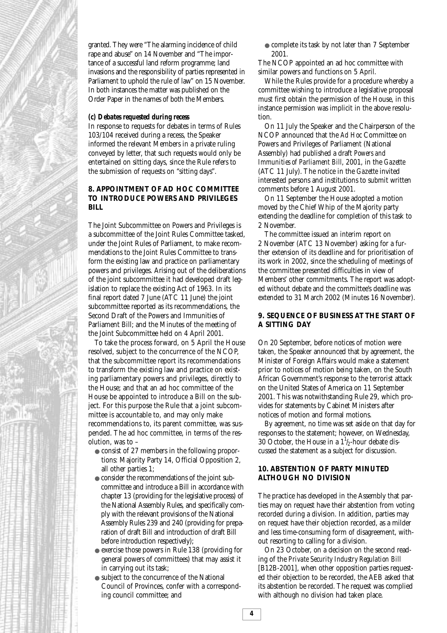

granted. They were "The alarming incidence of child rape and abuse" on 14 November and "The importance of a successful land reform programme; land invasions and the responsibility of parties represented in Parliament to uphold the rule of law" on 15 November. In both instances the matter was published on the Order Paper in the names of both the Members.

#### *(c) Debates requested during recess*

In response to requests for debates in terms of Rules 103/104 received during a recess, the Speaker informed the relevant Members in a private ruling conveyed by letter, that such requests would only be entertained on sitting days, since the Rule refers to the submission of requests on "sitting days".

#### **8. APPOINTMENT OF AD HOC COMMITTEE TO INTRODUCE POWERS AND PRIVILEGES BILL**

The Joint Subcommittee on Powers and Privileges is a subcommittee of the Joint Rules Committee tasked, under the Joint Rules of Parliament, to make recommendations to the Joint Rules Committee to transform the existing law and practice on parliamentary powers and privileges. Arising out of the deliberations of the joint subcommittee it had developed draft legislation to replace the existing Act of 1963. In its final report dated 7 June (ATC 11 June) the joint subcommittee reported as its recommendations, the Second Draft of the Powers and Immunities of Parliament Bill; and the Minutes of the meeting of the Joint Subcommittee held on 4 April 2001.

To take the process forward, on 5 April the House resolved, subject to the concurrence of the NCOP, that the subcommittee report its recommendations to transform the existing law and practice on existing parliamentary powers and privileges, directly to the House; and that an ad hoc committee of the House be appointed to introduce a Bill on the subject. For this purpose the Rule that a joint subcommittee is accountable to, and may only make recommendations to, its parent committee, was suspended. The ad hoc committee, in terms of the resolution, was to –

- consist of 27 members in the following proportions: Majority Party 14, Official Opposition 2, all other parties 1;
- consider the recommendations of the joint subcommittee and introduce a Bill in accordance with chapter 13 (providing for the legislative process) of the National Assembly Rules, and specifically comply with the relevant provisions of the National Assembly Rules 239 and 240 (providing for preparation of draft Bill and introduction of draft Bill before introduction respectively);
- exercise those powers in Rule 138 (providing for general powers of committees) that may assist it in carrying out its task;
- subject to the concurrence of the National Council of Provinces, confer with a corresponding council committee; and

● complete its task by not later than 7 September 2001.

The NCOP appointed an ad hoc committee with similar powers and functions on 5 April.

While the Rules provide for a procedure whereby a committee wishing to introduce a legislative proposal must first obtain the permission of the House, in this instance permission was implicit in the above resolution.

On 11 July the Speaker and the Chairperson of the NCOP announced that the *Ad Hoc* Committee on Powers and Privileges of Parliament (National Assembly) had published a draft *Powers and Immunities of Parliament Bill*, 2001, in the *Gazette* (ATC 11 July). The notice in the *Gazette* invited interested persons and institutions to submit written comments before 1 August 2001.

On 11 September the House adopted a motion moved by the Chief Whip of the Majority party extending the deadline for completion of this task to 2 November.

The committee issued an interim report on 2 November (ATC 13 November) asking for a further extension of its deadline and for prioritisation of its work in 2002, since the scheduling of meetings of the committee presented difficulties in view of Members' other commitments. The report was adopted without debate and the committee's deadline was extended to 31 March 2002 (Minutes 16 November).

### **9. SEQUENCE OF BUSINESS AT THE START OF A SITTING DAY**

On 20 September, before notices of motion were taken, the Speaker announced that by agreement, the Minister of Foreign Affairs would make a statement prior to notices of motion being taken, on the South African Government's response to the terrorist attack on the United States of America on 11 September 2001. This was notwithstanding Rule 29, which provides for statements by Cabinet Ministers after notices of motion and formal motions.

By agreement, no time was set aside on that day for responses to the statement; however, on Wednesday, 30 October, the House in a  $1\frac{1}{2}$ -hour debate discussed the statement as a subject for discussion.

### **10. ABSTENTION OF PARTY MINUTED ALTHOUGH NO DIVISION**

The practice has developed in the Assembly that parties may on request have their abstention from voting recorded during a division. In addition, parties may on request have their objection recorded, as a milder and less time-consuming form of disagreement, without resorting to calling for a division.

On 23 October, on a decision on the second reading of the *Private Security Industry Regulation Bill* [B12B-2001], when other opposition parties requested their objection to be recorded, the AEB asked that its abstention be recorded. The request was complied with although no division had taken place.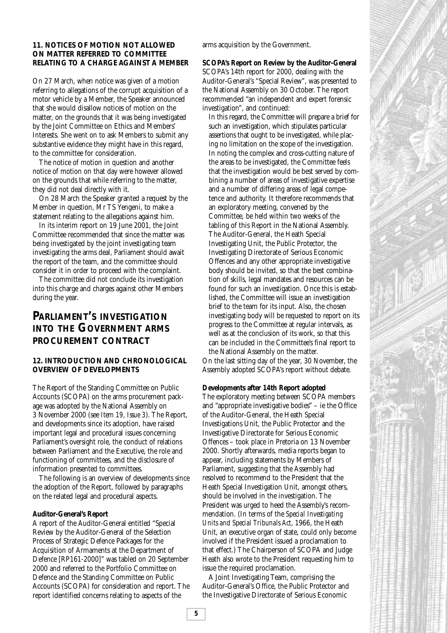### **11. NOTICES OF MOTION NOT ALLOWED ON MATTER REFERRED TO COMMITTEE RELATING TO A CHARGE AGAINST A MEMBER**

On 27 March, when notice was given of a motion referring to allegations of the corrupt acquisition of a motor vehicle by a Member, the Speaker announced that she would disallow notices of motion on the matter, on the grounds that it was being investigated by the Joint Committee on Ethics and Members' Interests. She went on to ask Members to submit any substantive evidence they might have in this regard, to the committee for consideration.

The notice of motion in question and another notice of motion on that day were however allowed on the grounds that while referring to the matter, they did not deal directly with it.

On 28 March the Speaker granted a request by the Member in question, Mr TS Yengeni, to make a statement relating to the allegations against him.

In its interim report on 19 June 2001, the Joint Committee recommended that since the matter was being investigated by the joint investigating team investigating the arms deal, Parliament should await the report of the team, and the committee should consider it in order to proceed with the complaint.

The committee did not conclude its investigation into this charge and charges against other Members during the year.

# **PARLIAMENT'S INVESTIGATION INTO THE GOVERNMENT ARMS PROCUREMENT CONTRACT**

### **12. INTRODUCTION AND CHRONOLOGICAL OVERVIEW OF DEVELOPMENTS**

The Report of the Standing Committee on Public Accounts (SCOPA) on the arms procurement package was adopted by the National Assembly on 3 November 2000 (see *Item 19, Issue 3*). The Report, and developments since its adoption, have raised important legal and procedural issues concerning Parliament's oversight role, the conduct of relations between Parliament and the Executive, the role and functioning of committees, and the disclosure of information presented to committees.

The following is an overview of developments since the adoption of the Report, followed by paragraphs on the related legal and procedural aspects.

#### **Auditor-General's Report**

A report of the Auditor-General entitled "Special Review by the Auditor-General of the Selection Process of Strategic Defence Packages for the Acquisition of Armaments at the Department of Defence [RP161-2000]" was tabled on 20 September 2000 and referred to the Portfolio Committee on Defence and the Standing Committee on Public Accounts (SCOPA) for consideration and report. The report identified concerns relating to aspects of the

arms acquisition by the Government.

**SCOPA's Report on Review by the Auditor-General** SCOPA's 14th report for 2000, dealing with the Auditor-General's "Special Review", was presented to the National Assembly on 30 October. The report recommended "an independent and expert forensic investigation", and continued:

In this regard, the Committee will prepare a brief for such an investigation, which stipulates particular assertions that ought to be investigated, while placing no limitation on the scope of the investigation. In noting the complex and cross-cutting nature of the areas to be investigated, the Committee feels that the investigation would be best served by combining a number of areas of investigative expertise and a number of differing areas of legal competence and authority. It therefore recommends that an exploratory meeting, convened by the Committee, be held within two weeks of the tabling of this Report in the National Assembly. The Auditor-General, the Heath Special Investigating Unit, the Public Protector, the Investigating Directorate of Serious Economic Offences and any other appropriate investigative body should be invited, so that the best combination of skills, legal mandates and resources can be found for such an investigation. Once this is established, the Committee will issue an investigation brief to the team for its input. Also, the chosen investigating body will be requested to report on its progress to the Committee at regular intervals, as well as at the conclusion of its work, so that this can be included in the Committee's final report to the National Assembly on the matter.

On the last sitting day of the year, 30 November, the Assembly adopted SCOPA's report without debate.

#### **Developments after 14th Report adopted**

The exploratory meeting between SCOPA members and "appropriate investigative bodies" – ie the Office of the Auditor-General, the Heath Special Investigations Unit, the Public Protector and the Investigative Directorate for Serious Economic Offences – took place in Pretoria on 13 November 2000. Shortly afterwards, media reports began to appear, including statements by Members of Parliament, suggesting that the Assembly had resolved to recommend to the President that the Heath Special Investigation Unit, amongst others, should be involved in the investigation. The President was urged to heed the Assembly's recommendation. (In terms of the *Special Investigating Units and Special Tribunals Act*, 1966, the Heath Unit, an executive organ of state, could only become involved if the President issued a proclamation to that effect.) The Chairperson of SCOPA and Judge Heath also wrote to the President requesting him to issue the required proclamation.

A Joint Investigating Team, comprising the Auditor-General's Office, the Public Protector and the Investigative Directorate of Serious Economic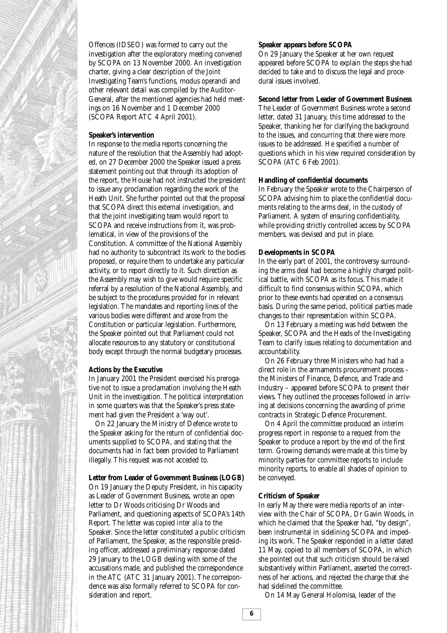

Offences (IDSEO) was formed to carry out the investigation after the exploratory meeting convened by SCOPA on 13 November 2000. An investigation charter, giving a clear description of the Joint Investigating Team's functions, modus operandi and other relevant detail was compiled by the Auditor-General, after the mentioned agencies had held meetings on 16 November and 1 December 2000 (SCOPA Report ATC 4 April 2001).

#### **Speaker's intervention**

In response to the media reports concerning the nature of the resolution that the Assembly had adopted, on 27 December 2000 the Speaker issued a press statement pointing out that through its adoption of the report, the House had not instructed the president to issue any proclamation regarding the work of the Heath Unit. She further pointed out that the proposal that SCOPA direct this external investigation, and that the joint investigating team would report to SCOPA and receive instructions from it, was problematical, in view of the provisions of the Constitution. A committee of the National Assembly had no authority to subcontract its work to the bodies proposed, or require them to undertake any particular activity, or to report directly to it. Such direction as the Assembly may wish to give would require specific referral by a resolution of the National Assembly, and be subject to the procedures provided for in relevant legislation. The mandates and reporting lines of the various bodies were different and arose from the Constitution or particular legislation. Furthermore, the Speaker pointed out that Parliament could not allocate resources to any statutory or constitutional body except through the normal budgetary processes.

#### **Actions by the Executive**

In January 2001 the President exercised his prerogative not to issue a proclamation involving the Heath Unit in the investigation. The political interpretation in some quarters was that the Speaker's press statement had given the President a 'way out'.

On 22 January the Ministry of Defence wrote to the Speaker asking for the return of confidential documents supplied to SCOPA, and stating that the documents had in fact been provided to Parliament illegally. This request was not acceded to.

#### **Letter from Leader of Government Business (LOGB)**

On 19 January the Deputy President, in his capacity as Leader of Government Business, wrote an open letter to Dr Woods criticising Dr Woods and Parliament, and questioning aspects of SCOPA's 14th Report. The letter was copied *inter alia* to the Speaker. Since the letter constituted a public criticism of Parliament, the Speaker, as the responsible presiding officer, addressed a preliminary response dated 29 January to the LOGB dealing with some of the accusations made, and published the correspondence in the ATC (ATC 31 January 2001). The correspondence was also formally referred to SCOPA for consideration and report.

#### **Speaker appears before SCOPA**

On 29 January the Speaker at her own request appeared before SCOPA to explain the steps she had decided to take and to discuss the legal and procedural issues involved.

#### **Second letter from Leader of Government Business**

The Leader of Government Business wrote a second letter, dated 31 January, this time addressed to the Speaker, thanking her for clarifying the background to the issues, and concurring that there were more issues to be addressed. He specified a number of questions which in his view required consideration by SCOPA (ATC 6 Feb 2001).

#### **Handling of confidential documents**

In February the Speaker wrote to the Chairperson of SCOPA advising him to place the confidential documents relating to the arms deal, in the custody of Parliament. A system of ensuring confidentiality, while providing strictly controlled access by SCOPA members, was devised and put in place.

#### **Developments in SCOPA**

In the early part of 2001, the controversy surrounding the arms deal had become a highly charged political battle, with SCOPA as its focus. This made it difficult to find consensus within SCOPA, which prior to these events had operated on a consensus basis. During the same period, political parties made changes to their representation within SCOPA.

On 13 February a meeting was held between the Speaker, SCOPA and the Heads of the Investigating Team to clarify issues relating to documentation and accountability.

On 26 February three Ministers who had had a direct role in the armaments procurement process – the Ministers of Finance, Defence, and Trade and Industry – appeared before SCOPA to present their views. They outlined the processes followed in arriving at decisions concerning the awarding of prime contracts in Strategic Defence Procurement.

On 4 April the committee produced an interim progress report in response to a request from the Speaker to produce a report by the end of the first term. Growing demands were made at this time by minority parties for committee reports to include minority reports, to enable all shades of opinion to be conveyed.

#### **Criticism of Speaker**

In early May there were media reports of an interview with the Chair of SCOPA, Dr Gavin Woods, in which he claimed that the Speaker had, "by design", been instrumental in sidelining SCOPA and impeding its work. The Speaker responded in a letter dated 11 May, copied to all members of SCOPA, in which she pointed out that such criticism should be raised substantively within Parliament, asserted the correctness of her actions, and rejected the charge that she had sidelined the committee.

On 14 May General Holomisa, leader of the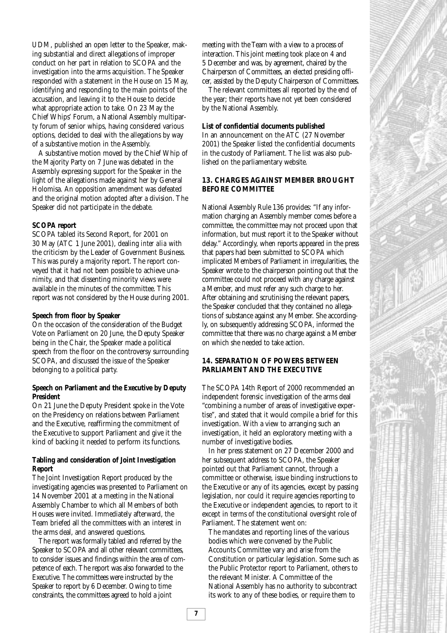UDM, published an open letter to the Speaker, making substantial and direct allegations of improper conduct on her part in relation to SCOPA and the investigation into the arms acquisition. The Speaker responded with a statement in the House on 15 May, identifying and responding to the main points of the accusation, and leaving it to the House to decide what appropriate action to take. On 23 May the Chief Whips' Forum, a National Assembly multiparty forum of senior whips, having considered various options, decided to deal with the allegations by way of a substantive motion in the Assembly.

A substantive motion moved by the Chief Whip of the Majority Party on 7 June was debated in the Assembly expressing support for the Speaker in the light of the allegations made against her by General Holomisa. An opposition amendment was defeated and the original motion adopted after a division. The Speaker did not participate in the debate.

#### **SCOPA report**

SCOPA tabled its Second Report, for 2001 on 30 May (ATC 1 June 2001), dealing *inter alia* with the criticism by the Leader of Government Business. This was purely a majority report. The report conveyed that it had not been possible to achieve unanimity, and that dissenting minority views were available in the minutes of the committee. This report was not considered by the House during 2001.

#### **Speech from floor by Speaker**

On the occasion of the consideration of the Budget Vote on Parliament on 20 June, the Deputy Speaker being in the Chair, the Speaker made a political speech from the floor on the controversy surrounding SCOPA, and discussed the issue of the Speaker belonging to a political party.

#### **Speech on Parliament and the Executive by Deputy President**

On 21 June the Deputy President spoke in the Vote on the Presidency on relations between Parliament and the Executive, reaffirming the commitment of the Executive to support Parliament and give it the kind of backing it needed to perform its functions.

#### **Tabling and consideration of Joint Investigation Report**

The Joint Investigation Report produced by the investigating agencies was presented to Parliament on 14 November 2001 at a meeting in the National Assembly Chamber to which all Members of both Houses were invited. Immediately afterward, the Team briefed all the committees with an interest in the arms deal, and answered questions.

The report was formally tabled and referred by the Speaker to SCOPA and all other relevant committees, to consider issues and findings within the area of competence of each. The report was also forwarded to the Executive. The committees were instructed by the Speaker to report by 6 December. Owing to time constraints, the committees agreed to hold a joint

meeting with the Team with a view to a process of interaction. This joint meeting took place on 4 and 5 December and was, by agreement, chaired by the Chairperson of Committees, an elected presiding officer, assisted by the Deputy Chairperson of Committees.

The relevant committees all reported by the end of the year; their reports have not yet been considered by the National Assembly.

#### **List of confidential documents published**

In an announcement on the ATC (27 November 2001) the Speaker listed the confidential documents in the custody of Parliament. The list was also published on the parliamentary website.

#### **13. CHARGES AGAINST MEMBER BROUGHT BEFORE COMMITTEE**

National Assembly Rule 136 provides: "If any information charging an Assembly member comes before a committee, the committee may not proceed upon that information, but must report it to the Speaker without delay." Accordingly, when reports appeared in the press that papers had been submitted to SCOPA which implicated Members of Parliament in irregularities, the Speaker wrote to the chairperson pointing out that the committee could not proceed with any charge against a Member, and must refer any such charge to her. After obtaining and scrutinising the relevant papers, the Speaker concluded that they contained no allegations of substance against any Member. She accordingly, on subsequently addressing SCOPA, informed the committee that there was no charge against a Member on which she needed to take action.

#### **14. SEPARATION OF POWERS BETWEEN PARLIAMENT AND THE EXECUTIVE**

The SCOPA 14th Report of 2000 recommended an independent forensic investigation of the arms deal "combining a number of areas of investigative expertise", and stated that it would compile a brief for this investigation. With a view to arranging such an investigation, it held an exploratory meeting with a number of investigative bodies.

In her press statement on 27 December 2000 and her subsequent address to SCOPA, the Speaker pointed out that Parliament cannot, through a committee or otherwise, issue binding instructions to the Executive or any of its agencies, except by passing legislation, nor could it require agencies reporting to the Executive or independent agencies, to report to it except in terms of the constitutional oversight role of Parliament. The statement went on:

The mandates and reporting lines of the various bodies which were convened by the Public Accounts Committee vary and arise from the Constitution or particular legislation. Some such as the Public Protector report to Parliament, others to the relevant Minister. A Committee of the National Assembly has no authority to subcontract its work to any of these bodies, or require them to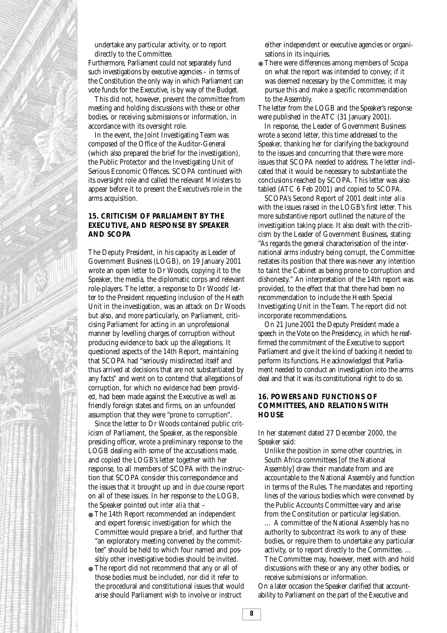

undertake any particular activity, or to report directly to the Committee.

Furthermore, Parliament could not separately fund such investigations by executive agencies – in terms of the Constitution the only way in which Parliament can vote funds for the Executive, is by way of the Budget.

This did not, however, prevent the committee from meeting and holding discussions with these or other bodies, or receiving submissions or information, in accordance with its oversight role.

In the event, the Joint Investigating Team was composed of the Office of the Auditor-General (which also prepared the brief for the investigation), the Public Protector and the Investigating Unit of Serious Economic Offences. SCOPA continued with its oversight role and called the relevant Ministers to appear before it to present the Executive's role in the arms acquisition.

#### **15. CRITICISM OF PARLIAMENT BY THE EXECUTIVE, AND RESPONSE BY SPEAKER AND SCOPA**

The Deputy President, in his capacity as Leader of Government Business (LOGB), on 19 January 2001 wrote an open letter to Dr Woods, copying it to the Speaker, the media, the diplomatic corps and relevant role-players. The letter, a response to Dr Woods' letter to the President requesting inclusion of the Heath Unit in the investigation, was an attack on Dr Woods but also, and more particularly, on Parliament, criticising Parliament for acting in an unprofessional manner by levelling charges of corruption without producing evidence to back up the allegations. It questioned aspects of the 14th Report, maintaining that SCOPA had "seriously misdirected itself and thus arrived at decisions that are not substantiated by any facts" and went on to contend that allegations of corruption, for which no evidence had been provided, had been made against the Executive as well as friendly foreign states and firms, on an unfounded assumption that they were "prone to corruption".

Since the letter to Dr Woods contained public criticism of Parliament, the Speaker, as the responsible presiding officer, wrote a preliminary response to the LOGB dealing with some of the accusations made, and copied the LOGB's letter together with her response, to all members of SCOPA with the instruction that SCOPA consider this correspondence and the issues that it brought up and in due course report on all of these issues. In her response to the LOGB, the Speaker pointed out *inter alia* that –

- The 14th Report recommended an independent and expert forensic investigation for which the Committee would prepare a brief, and further that "an exploratory meeting convened by the committee" should be held to which four named and possibly other investigative bodies should be invited.
- The report did not recommend that any or all of those bodies must be included, nor did it refer to the procedural and constitutional issues that would arise should Parliament wish to involve or instruct

either independent or executive agencies or organisations in its inquiries.

● There were differences among members of Scopa on what the report was intended to convey; if it was deemed necessary by the Committee, it may pursue this and make a specific recommendation to the Assembly.

The letter from the LOGB and the Speaker's response were published in the ATC (31 January 2001).

In response, the Leader of Government Business wrote a second letter, this time addressed to the Speaker, thanking her for clarifying the background to the issues and concurring that there were more issues that SCOPA needed to address. The letter indicated that it would be necessary to substantiate the conclusions reached by SCOPA. This letter was also tabled (ATC 6 Feb 2001) and copied to SCOPA.

SCOPA's Second Report of 2001 dealt *inter alia* with the issues raised in the LOGB's first letter. This more substantive report outlined the nature of the investigation taking place. It also dealt with the criticism by the Leader of Government Business, stating: "As regards the general characterisation of the international arms industry being corrupt, the Committee restates its position that there was never any intention to taint the Cabinet as being prone to corruption and dishonesty." An interpretation of the 14th report was provided, to the effect that that there had been no recommendation to include the Heath Special Investigating Unit in the Team. The report did not incorporate recommendations.

On 21 June 2001 the Deputy President made a speech in the Vote on the Presidency, in which he reaffirmed the commitment of the Executive to support Parliament and give it the kind of backing it needed to perform its functions. He acknowledged that Parliament needed to conduct an investigation into the arms deal and that it was its constitutional right to do so.

### **16. POWERS AND FUNCTIONS OF COMMITTEES, AND RELATIONS WITH HOUSE**

In her statement dated 27 December 2000, the Speaker said:

Unlike the position in some other countries, in South Africa committees [of the National Assembly] draw their mandate from and are accountable to the National Assembly and function in terms of the Rules. The mandates and reporting lines of the various bodies which were convened by the Public Accounts Committee vary and arise from the Constitution or particular legislation. … A committee of the National Assembly has no authority to subcontract its work to any of these bodies, or require them to undertake any particular activity, or to report directly to the Committee. … The Committee may, however, meet with and hold discussions with these or any any other bodies, or receive submissions or information.

On a later occasion the Speaker clarified that accountability to Parliament on the part of the Executive and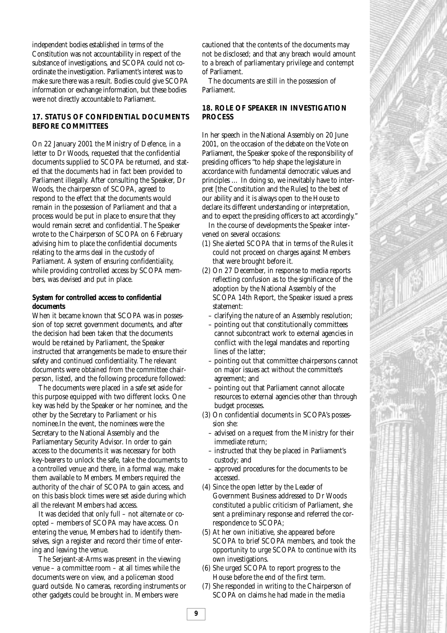independent bodies established in terms of the Constitution was not accountability in respect of the substance of investigations, and SCOPA could not coordinate the investigation. Parliament's interest was to make sure there was a result. Bodies could give SCOPA information or exchange information, but these bodies were not directly accountable to Parliament.

# **17. STATUS OF CONFIDENTIAL DOCUMENTS BEFORE COMMITTEES**

On 22 January 2001 the Ministry of Defence, in a letter to Dr Woods, requested that the confidential documents supplied to SCOPA be returned, and stated that the documents had in fact been provided to Parliament illegally. After consulting the Speaker, Dr Woods, the chairperson of SCOPA, agreed to respond to the effect that the documents would remain in the possession of Parliament and that a process would be put in place to ensure that they would remain secret and confidential. The Speaker wrote to the Chairperson of SCOPA on 6 February advising him to place the confidential documents relating to the arms deal in the custody of Parliament. A system of ensuring confidentiality, while providing controlled access by SCOPA members, was devised and put in place.

### **System for controlled access to confidential documents**

When it became known that SCOPA was in possession of top secret government documents, and after the decision had been taken that the documents would be retained by Parliament, the Speaker instructed that arrangements be made to ensure their safety and continued confidentiality. The relevant documents were obtained from the committee chairperson, listed, and the following procedure followed:

The documents were placed in a safe set aside for this purpose equipped with two different locks. One key was held by the Speaker or her nominee, and the other by the Secretary to Parliament or his nominee.In the event, the nominees were the Secretary to the National Assembly and the Parliamentary Security Advisor. In order to gain access to the documents it was necessary for both key-bearers to unlock the safe, take the documents to a controlled venue and there, in a formal way, make them available to Members. Members required the authority of the chair of SCOPA to gain access, and on this basis block times were set aside during which all the relevant Members had access.

It was decided that only full – not alternate or coopted – members of SCOPA may have access. On entering the venue, Members had to identify themselves, sign a register and record their time of entering and leaving the venue.

The Serjeant-at-Arms was present in the viewing venue – a committee room – at all times while the documents were on view, and a policeman stood guard outside. No cameras, recording instruments or other gadgets could be brought in. Members were

cautioned that the contents of the documents may not be disclosed; and that any breach would amount to a breach of parliamentary privilege and contempt of Parliament.

The documents are still in the possession of Parliament.

### **18. ROLE OF SPEAKER IN INVESTIGATION PROCESS**

In her speech in the National Assembly on 20 June 2001, on the occasion of the debate on the Vote on Parliament, the Speaker spoke of the responsibility of presiding officers "to help shape the legislature in accordance with fundamental democratic values and principles … In doing so, we inevitably have to interpret [the Constitution and the Rules] to the best of our ability and it is always open to the House to declare its different understanding or interpretation, and to expect the presiding officers to act accordingly."

In the course of developments the Speaker intervened on several occasions:

- (1) She alerted SCOPA that in terms of the Rules it could not proceed on charges against Members that were brought before it.
- (2) On 27 December, in response to media reports reflecting confusion as to the significance of the adoption by the National Assembly of the SCOPA 14th Report, the Speaker issued a press statement:
	- clarifying the nature of an Assembly resolution;
	- pointing out that constitutionally committees cannot subcontract work to external agencies in conflict with the legal mandates and reporting lines of the latter;
	- pointing out that committee chairpersons cannot on major issues act without the committee's agreement; and
	- pointing out that Parliament cannot allocate resources to external agencies other than through budget processes.
- (3) On confidential documents in SCOPA's possession she:
	- advised on a request from the Ministry for their immediate return;
	- instructed that they be placed in Parliament's custody; and
	- approved procedures for the documents to be accessed.
- (4) Since the open letter by the Leader of Government Business addressed to Dr Woods constituted a public criticism of Parliament, she sent a preliminary response and referred the correspondence to SCOPA;
- (5) At her own initiative, she appeared before SCOPA to brief SCOPA members, and took the opportunity to urge SCOPA to continue with its own investigations.
- (6) She urged SCOPA to report progress to the House before the end of the first term.
- (7) She responded in writing to the Chairperson of SCOPA on claims he had made in the media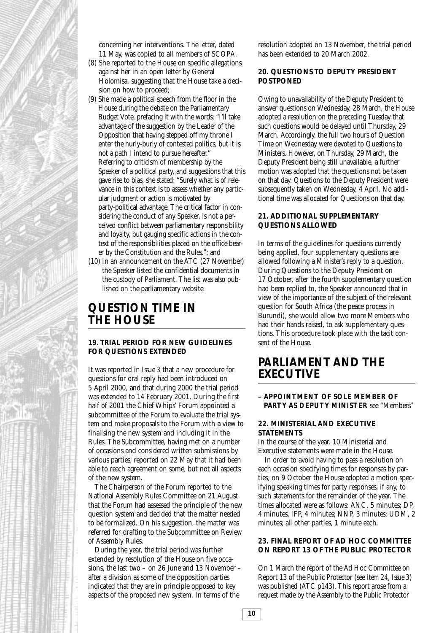

concerning her interventions. The letter, dated 11 May, was copied to all members of SCOPA.

- (8) She reported to the House on specific allegations against her in an open letter by General Holomisa, suggesting that the House take a decision on how to proceed;
- (9) She made a political speech from the floor in the House during the debate on the Parliamentary Budget Vote, prefacing it with the words: "I'll take advantage of the suggestion by the Leader of the Opposition that having stepped off my throne I enter the hurly-burly of contested politics, but it is not a path I intend to pursue hereafter." Referring to criticism of membership by the Speaker of a political party, and suggestions that this gave rise to bias, she stated: "Surely what is of relevance in this context is to assess whether any particular judgment or action is motivated by party-political advantage. The critical factor in considering the conduct of any Speaker, is not a perceived conflict between parliamentary responsibility and loyalty, but gauging specific actions in the context of the responsibilities placed on the office bearer by the Constitution and the Rules."; and
- (10) In an announcement on the ATC (27 November) the Speaker listed the confidential documents in the custody of Parliament. The list was also published on the parliamentary website.

# **QUESTION TIME IN THE HOUSE**

### **19. TRIAL PERIOD FOR NEW GUIDELINES FOR QUESTIONS EXTENDED**

It was reported in *Issue 3* that a new procedure for questions for oral reply had been introduced on 5 April 2000, and that during 2000 the trial period was extended to 14 February 2001. During the first half of 2001 the Chief Whips' Forum appointed a subcommittee of the Forum to evaluate the trial system and make proposals to the Forum with a view to finalising the new system and including it in the Rules. The Subcommittee, having met on a number of occasions and considered written submissions by various parties, reported on 22 May that it had been able to reach agreement on some, but not all aspects of the new system.

The Chairperson of the Forum reported to the National Assembly Rules Committee on 21 August that the Forum had assessed the principle of the new question system and decided that the matter needed to be formalized. On his suggestion, the matter was referred for drafting to the Subcommittee on Review of Assembly Rules.

During the year, the trial period was further extended by resolution of the House on five occasions, the last two – on 26 June and 13 November – after a division as some of the opposition parties indicated that they are in principle opposed to key aspects of the proposed new system. In terms of the

resolution adopted on 13 November, the trial period has been extended to 20 March 2002.

# **20. QUESTIONS TO DEPUTY PRESIDENT POSTPONED**

Owing to unavailability of the Deputy President to answer questions on Wednesday, 28 March, the House adopted a resolution on the preceding Tuesday that such questions would be delayed until Thursday, 29 March. Accordingly, the full two hours of Question Time on Wednesday were devoted to Questions to Ministers. However, on Thursday, 29 March, the Deputy President being still unavailable, a further motion was adopted that the questions not be taken on that day. Questions to the Deputy President were subsequently taken on Wednesday, 4 April. No additional time was allocated for Questions on that day.

#### **21. ADDITIONAL SUPPLEMENTARY QUESTIONS ALLOWED**

In terms of the guidelines for questions currently being applied, four supplementary questions are allowed following a Minister's reply to a question. During Questions to the Deputy President on 17 October, after the fourth supplementary question had been replied to, the Speaker announced that in view of the importance of the subject of the relevant question for South Africa (the peace process in Burundi), she would allow two more Members who had their hands raised, to ask supplementary questions. This procedure took place with the tacit consent of the House.

# **PARLIAMENT AND THE EXECUTIVE**

**– APPOINTMENT OF SOLE MEMBER OF PARTY AS DEPUTY MINISTER** see "Members"

#### **22. MINISTERIAL AND EXECUTIVE STATEMENTS**

In the course of the year. 10 Ministerial and Executive statements were made in the House.

In order to avoid having to pass a resolution on each occasion specifying times for responses by parties, on 9 October the House adopted a motion specifying speaking times for party responses, if any, to such statements for the remainder of the year. The times allocated were as follows: ANC, 5 minutes; DP, 4 minutes, IFP, 4 minutes; NNP, 3 minutes; UDM, 2 minutes; all other parties, 1 minute each.

### **23. FINAL REPORT OF AD HOC COMMITTEE ON REPORT 13 OF THE PUBLIC PROTECTOR**

On 1 March the report of the Ad Hoc Committee on Report 13 of the Public Protector (see *Item 24, Issue 3*) was published (ATC p143). This report arose from a request made by the Assembly to the Public Protector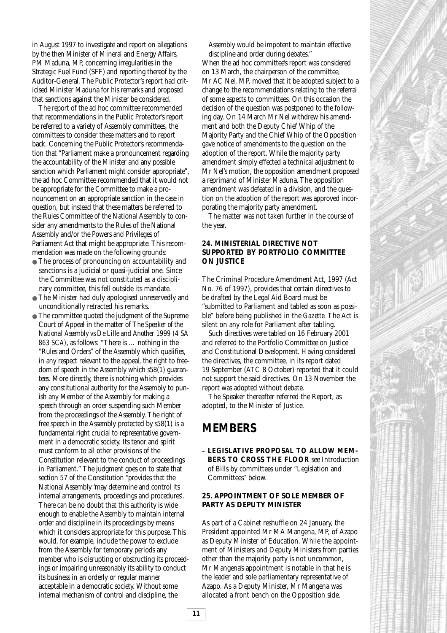in August 1997 to investigate and report on allegations by the then Minister of Mineral and Energy Affairs, PM Maduna, MP, concerning irregularities in the Strategic Fuel Fund (SFF) and reporting thereof by the Auditor-General. The Public Protector's report had criticised Minister Maduna for his remarks and proposed that sanctions against the Minister be considered.

The report of the ad hoc committee recommended that recommendations in the Public Protector's report be referred to a variety of Assembly committees, the committees to consider these matters and to report back. Concerning the Public Protector's recommendation that "Parliament make a pronouncement regarding the accountability of the Minister and any possible sanction which Parliament might consider appropriate", the ad hoc Committee recommended that it would not be appropriate for the Committee to make a pronouncement on an appropriate sanction in the case in question, but instead that these matters be referred to the Rules Committee of the National Assembly to consider any amendments to the Rules of the National Assembly and/or the Powers and Privileges of Parliament Act that might be appropriate. This recommendation was made on the following grounds:

- The process of pronouncing on accountability and sanctions is a judicial or quasi-judicial one. Since the Committee was not constituted as a disciplinary committee, this fell outside its mandate.
- The Minister had duly apologised unreservedly and unconditionally retracted his remarks.
- The committee quoted the judgment of the Supreme Court of Appeal in the matter of *The Speaker of the National Assembly vs De Lille and Another 1999 (4 SA 863 SCA)*, as follows: "There is … nothing in the "Rules and Orders" of the Assembly which qualifies, in any respect relevant to the appeal, the right to freedom of speech in the Assembly which s58(1) guarantees. More directly, there is nothing which provides any constitutional authority for the Assembly to punish any Member of the Assembly for making a speech through an order suspending such Member from the proceedings of the Assembly. The right of free speech in the Assembly protected by s58(1) is a fundamental right crucial to representative government in a democratic society. Its tenor and spirit must conform to all other provisions of the Constitution relevant to the conduct of proceedings in Parliament." The judgment goes on to state that section 57 of the Constitution "provides that the National Assembly 'may determine and control its internal arrangements, proceedings and procedures'. There can be no doubt that this authority is wide enough to enable the Assembly to maintain internal order and discipline in its proceedings by means which it considers appropriate for this purpose. This would, for example, include the power to exclude from the Assembly for temporary periods any member who is disrupting or obstructing its proceedings or impairing unreasonably its ability to conduct its business in an orderly or regular manner acceptable in a democratic society. Without some internal mechanism of control and discipline, the

Assembly would be impotent to maintain effective discipline and order during debates."

When the ad hoc committee's report was considered on 13 March, the chairperson of the committee, Mr AC Nel, MP, moved that it be adopted subject to a change to the recommendations relating to the referral of some aspects to committees. On this occasion the decision of the question was postponed to the following day. On 14 March Mr Nel withdrew his amendment and both the Deputy Chief Whip of the Majority Party and the Chief Whip of the Opposition gave notice of amendments to the question on the adoption of the report. While the majority party amendment simply effected a technical adjustment to Mr Nel's motion, the opposition amendment proposed a reprimand of Minister Maduna. The opposition amendment was defeated in a division, and the question on the adoption of the report was approved incorporating the majority party amendment.

The matter was not taken further in the course of the year.

### **24. MINISTERIAL DIRECTIVE NOT SUPPORTED BY PORTFOLIO COMMITTEE ON JUSTICE**

The Criminal Procedure Amendment Act, 1997 (Act No. 76 of 1997), provides that certain directives to be drafted by the Legal Aid Board must be "submitted to Parliament and tabled as soon as possible" before being published in the *Gazette*. The Act is silent on any role for Parliament after tabling.

Such directives were tabled on 16 February 2001 and referred to the Portfolio Committee on Justice and Constitutional Development. Having considered the directives, the committee, in its report dated 19 September (ATC 8 October) reported that it could not support the said directives. On 13 November the report was adopted without debate.

The Speaker thereafter referred the Report, as adopted, to the Minister of Justice.

# **MEMBERS**

**– LEGISLATIVE PROPOSAL TO ALLOW MEM-BERS TO CROSS THE FLOOR** see Introduction of Bills by committees under "Legislation and Committees" below.

# **25. APPOINTMENT OF SOLE MEMBER OF PARTY AS DEPUTY MINISTER**

As part of a Cabinet reshuffle on 24 January, the President appointed Mr MA Mangena, MP, of Azapo as Deputy Minister of Education. While the appointment of Ministers and Deputy Ministers from parties other than the majority party is not uncommon, Mr Mangena's appointment is notable in that he is the leader and sole parliamentary representative of Azapo. As a Deputy Minister, Mr Mangena was allocated a front bench on the Opposition side.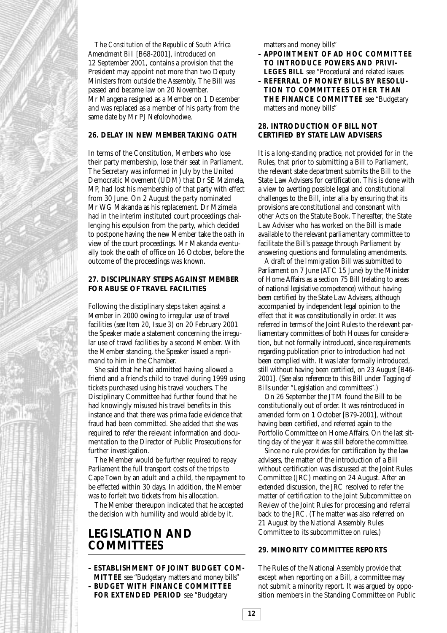The *Constitution of the Republic of South Africa Amendment Bill* [B68-2001], introduced on 12 September 2001, contains a provision that the President may appoint not more than two Deputy Ministers from outside the Assembly. The Bill was passed and became law on 20 November. Mr Mangena resigned as a Member on 1 December and was replaced as a member of his party from the same date by Mr PJ Nefolovhodwe.

# **26. DELAY IN NEW MEMBER TAKING OATH**

In terms of the Constitution, Members who lose their party membership, lose their seat in Parliament. The Secretary was informed in July by the United Democratic Movement (UDM) that Dr SE Mzimela, MP, had lost his membership of that party with effect from 30 June. On 2 August the party nominated Mr WG Makanda as his replacement. Dr Mzimela had in the interim instituted court proceedings challenging his expulsion from the party, which decided to postpone having the new Member take the oath in view of the court proceedings. Mr Makanda eventually took the oath of office on 16 October, before the outcome of the proceedings was known.

### **27. DISCIPLINARY STEPS AGAINST MEMBER FOR ABUSE OF TRAVEL FACILITIES**

Following the disciplinary steps taken against a Member in 2000 owing to irregular use of travel facilities (see *Item 20, Issue 3*) on 20 February 2001 the Speaker made a statement concerning the irregular use of travel facilities by a second Member. With the Member standing, the Speaker issued a reprimand to him in the Chamber.

She said that he had admitted having allowed a friend and a friend's child to travel during 1999 using tickets purchased using his travel vouchers. The Disciplinary Committee had further found that he had knowingly misused his travel benefits in this instance and that there was prima facie evidence that fraud had been committed. She added that she was required to refer the relevant information and documentation to the Director of Public Prosecutions for further investigation.

The Member would be further required to repay Parliament the full transport costs of the trips to Cape Town by an adult and a child, the repayment to be effected within 30 days. In addition, the Member was to forfeit two tickets from his allocation.

The Member thereupon indicated that he accepted the decision with humility and would abide by it.

# **LEGISLATION AND COMMITTEES**

- **ESTABLISHMENT OF JOINT BUDGET COM-MITTEE** see "Budgetary matters and money bills" **– BUDGET WITH FINANCE COMMITTEE**
- **FOR EXTENDED PERIOD** see "Budgetary

matters and money bills"

matters and money bills"

- **APPOINTMENT OF AD HOC COMMITTEE TO INTRODUCE POWERS AND PRIVI-LEGES BILL** see "Procedural and related issues
- **REFERRAL OF MONEY BILLS BY RESOLU-TION TO COMMITTEES OTHER THAN THE FINANCE COMMITTEE** see "Budgetary

# **28. INTRODUCTION OF BILL NOT CERTIFIED BY STATE LAW ADVISERS**

It is a long-standing practice, not provided for in the Rules, that prior to submitting a Bill to Parliament, the relevant state department submits the Bill to the State Law Advisers for certification. This is done with a view to averting possible legal and constitutional challenges to the Bill, *inter alia* by ensuring that its provisions are constitutional and consonant with other Acts on the Statute Book. Thereafter, the State Law Adviser who has worked on the Bill is made available to the relevant parliamentary committee to facilitate the Bill's passage through Parliament by answering questions and formulating amendments.

A draft of the *Immigration Bill* was submitted to Parliament on 7 June (ATC 15 June) by the Minister of Home Affairs as a section 75 Bill (relating to areas of national legislative competence) without having been certified by the State Law Advisers, although accompanied by independent legal opinion to the effect that it was constitutionally in order. It was referred in terms of the Joint Rules to the relevant parliamentary committees of both Houses for consideration, but not formally introduced, since requirements regarding publication prior to introduction had not been complied with. It was later formally introduced, still without having been certified, on 23 August [B46- 2001]. (See also reference to this Bill under *Tagging of Bills* under "Legislation and committees".)

On 26 September the JTM found the Bill to be constitutionally out of order. It was reintroduced in amended form on 1 October [B79-2001], without having been certified, and referred again to the Portfolio Committee on Home Affairs. On the last sitting day of the year it was still before the committee.

Since no rule provides for certification by the law advisers, the matter of the introduction of a Bill without certification was discussed at the Joint Rules Committee (JRC) meeting on 24 August. After an extended discussion, the JRC resolved to refer the matter of certification to the Joint Subcommittee on Review of the Joint Rules for processing and referral back to the JRC. (The matter was also referred on 21 August by the National Assembly Rules Committee to its subcommittee on rules.)

#### **29. MINORITY COMMITTEE REPORTS**

The Rules of the National Assembly provide that except when reporting on a Bill, a committee may not submit a minority report. It was argued by opposition members in the Standing Committee on Public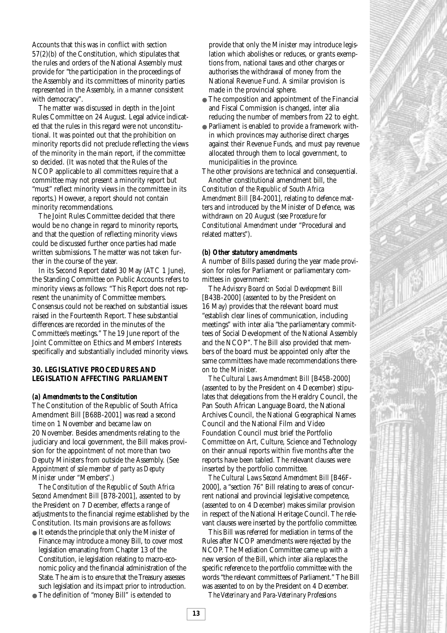Accounts that this was in conflict with section 57(2)(b) of the Constitution, which stipulates that the rules and orders of the National Assembly must provide for "the participation in the proceedings of the Assembly and its committees of minority parties represented in the Assembly, in a manner consistent with democracy".

The matter was discussed in depth in the Joint Rules Committee on 24 August. Legal advice indicated that the rules in this regard were not unconstitutional. It was pointed out that the prohibition on minority reports did not preclude reflecting the views of the minority in the main report, if the committee so decided. (It was noted that the Rules of the NCOP applicable to all committees require that a committee may not present a minority report but "must" reflect minority views in the committee in its reports.) However, a report should not contain minority recommendations.

The Joint Rules Committee decided that there would be no change in regard to minority reports, and that the question of reflecting minority views could be discussed further once parties had made written submissions. The matter was not taken further in the course of the year.

In its Second Report dated 30 May (ATC 1 June), the Standing Committee on Public Accounts refers to minority views as follows: "This Report does not represent the unanimity of Committee members. Consensus could not be reached on substantial issues raised in the Fourteenth Report. These substantial differences are recorded in the minutes of the Committee's meetings." The 19 June report of the Joint Committee on Ethics and Members' Interests specifically and substantially included minority views.

# **30. LEGISLATIVE PROCEDURES AND LEGISLATION AFFECTING PARLIAMENT**

#### *(a) Amendments to the Constitution*

The Constitution of the Republic of South Africa Amendment Bill [B68B-2001] was read a second time on 1 November and became law on 20 November. Besides amendments relating to the judiciary and local government, the Bill makes provision for the appointment of not more than two Deputy Ministers from outside the Assembly. (See *Appointment of sole member of party as Deputy Minister* under "Members".)

The *Constitution of the Republic of South Africa Second Amendment Bill* [B78-2001], assented to by the President on 7 December, effects a range of adjustments to the financial regime established by the Constitution. Its main provisions are as follows:

- It extends the principle that only the Minister of Finance may introduce a money Bill, to cover most legislation emanating from Chapter 13 of the Constitution, ie legislation relating to macro-economic policy and the financial administration of the State. The aim is to ensure that the Treasury assesses such legislation and its impact prior to introduction.
- The definition of "money Bill" is extended to

provide that only the Minister may introduce legislation which abolishes or reduces, or grants exemptions from, national taxes and other charges or authorises the withdrawal of money from the National Revenue Fund. A similar provision is made in the provincial sphere.

- The composition and appointment of the Financial and Fiscal Commission is changed, inter alia reducing the number of members from 22 to eight.
- Parliament is enabled to provide a framework within which provinces may authorise direct charges against their Revenue Funds, and must pay revenue allocated through them to local government, to municipalities in the province.

The other provisions are technical and consequential. Another constitutional amendment bill, the *Constitution of the Republic of South Africa Amendment Bill* [B4-2001], relating to defence matters and introduced by the Minister of Defence, was withdrawn on 20 August (see *Procedure for Constitutional Amendment* under "Procedural and related matters").

#### *(b) Other statutory amendments*

A number of Bills passed during the year made provision for roles for Parliament or parliamentary committees in government:

The *Advisory Board on Social Development Bill* [B43B-2000] (assented to by the President on 16 May) provides that the relevant board must "establish clear lines of communication, including meetings" with inter alia "the parliamentary committees of Social Development of the National Assembly and the NCOP". The Bill also provided that members of the board must be appointed only after the same committees have made recommendations thereon to the Minister.

*The Cultural Laws Amendment Bill* [B45B-2000] (assented to by the President on 4 December) stipulates that delegations from the Heraldry Council, the Pan South African Language Board, the National Archives Council, the National Geographical Names Council and the National Film and Video Foundation Council must brief the Portfolio Committee on Art, Culture, Science and Technology on their annual reports within five months after the reports have been tabled. The relevant clauses were inserted by the portfolio committee.

*The Cultural Laws Second Amendment Bill* [B46F-2000], a "section 76" Bill relating to areas of concurrent national and provincial legislative competence, (assented to on 4 December) makes similar provision in respect of the National Heritage Council. The relevant clauses were inserted by the portfolio committee.

This Bill was referred for mediation in terms of the Rules after NCOP amendments were rejected by the NCOP. The Mediation Committee came up with a new version of the Bill, which inter alia replaces the specific reference to the portfolio committee with the words "the relevant committees of Parliament." The Bill was assented to on by the President on 4 December.

*The Veterinary and Para-Veterinary Professions*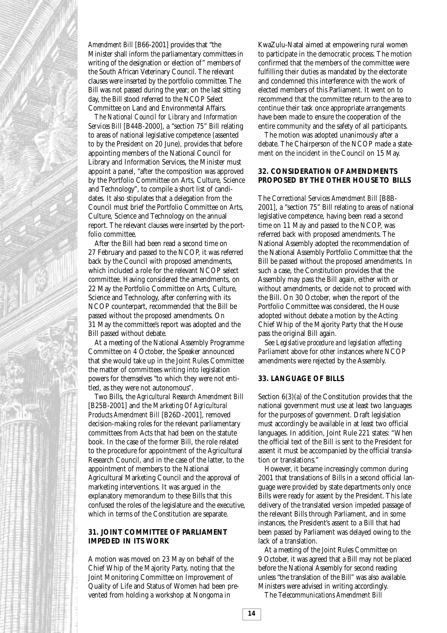

*Amendment Bill* [B66-2001] provides that "the Minister shall inform the parliamentary committees in writing of the designation or election of" members of the South African Veterinary Council. The relevant clauses were inserted by the portfolio committee. The Bill was not passed during the year; on the last sitting day, the Bill stood referred to the NCOP Select Committee on Land and Environmental Affairs.

*The National Council for Library and Information Services Bill* [B44B-2000], a "section 75" Bill relating to areas of national legislative competence (assented to by the President on 20 June), provides that before appointing members of the National Council for Library and Information Services, the Minister must appoint a panel, "after the composition was approved by the Portfolio Committee on Arts, Culture, Science and Technology", to compile a short list of candidates. It also stipulates that a delegation from the Council must brief the Portfolio Committee on Arts, Culture, Science and Technology on the annual report. The relevant clauses were inserted by the portfolio committee.

After the Bill had been read a second time on 27 February and passed to the NCOP, it was referred back by the Council with proposed amendments, which included a role for the relevant NCOP select committee. Having considered the amendments, on 22 May the Portfolio Committee on Arts, Culture, Science and Technology, after conferring with its NCOP counterpart, recommended that the Bill be passed without the proposed amendments. On 31 May the committee's report was adopted and the Bill passed without debate.

At a meeting of the National Assembly Programme Committee on 4 October, the Speaker announced that she would take up in the Joint Rules Committee the matter of committees writing into legislation powers for themselves "to which they were not entitled, as they were not autonomous".

Two Bills, the *Agricultural Research Amendment Bill* [B25B-2001] and the *Marketing Of Agricultural Products Amendment Bill* [B26D-2001], removed decision-making roles for the relevant parliamentary committees from Acts that had been on the statute book. In the case of the former Bill, the role related to the procedure for appointment of the Agricultural Research Council, and in the case of the latter, to the appointment of members to the National Agricultural Marketing Council and the approval of marketing interventions. It was argued in the explanatory memorandum to these Bills that this confused the roles of the legislature and the executive, which in terms of the Constitution are separate.

### **31. JOINT COMMITTEE OF PARLIAMENT IMPEDED IN ITS WORK**

A motion was moved on 23 May on behalf of the Chief Whip of the Majority Party, noting that the Joint Monitoring Committee on Improvement of Quality of Life and Status of Women had been prevented from holding a workshop at Nongoma in

KwaZulu-Natal aimed at empowering rural women to participate in the democratic process. The motion confirmed that the members of the committee were fulfilling their duties as mandated by the electorate and condemned this interference with the work of elected members of this Parliament. It went on to recommend that the committee return to the area to continue their task once appropriate arrangements have been made to ensure the cooperation of the entire community and the safety of all participants.

The motion was adopted unanimously after a debate. The Chairperson of the NCOP made a statement on the incident in the Council on 15 May.

#### **32. CONSIDERATION OF AMENDMENTS PROPOSED BY THE OTHER HOUSE TO BILLS**

The *Correctional Services Amendment Bill* [B8B-2001], a "section 75" Bill relating to areas of national legislative competence, having been read a second time on 11 May and passed to the NCOP, was referred back with proposed amendments. The National Assembly adopted the recommendation of the National Assembly Portfolio Committee that the Bill be passed without the proposed amendments. In such a case, the Constitution provides that the Assembly may pass the Bill again, either with or without amendments, or decide not to proceed with the Bill. On 30 October, when the report of the Portfolio Committee was considered, the House adopted without debate a motion by the Acting Chief Whip of the Majority Party that the House pass the original Bill again.

See *Legislative procedure and legislation affecting Parliament* above for other instances where NCOP amendments were rejected by the Assembly.

#### **33. LANGUAGE OF BILLS**

Section 6(3)(a) of the Constitution provides that the national government must use at least two languages for the purposes of government. Draft legislation must accordingly be available in at least two official languages. In addition, Joint Rule 221 states: "When the official text of the Bill is sent to the President for assent it must be accompanied by the official translation or translations."

However, it became increasingly common during 2001 that translations of Bills in a second official language were provided by state departments only once Bills were ready for assent by the President. This late delivery of the translated version impeded passage of the relevant Bills through Parliament, and in some instances, the President's assent to a Bill that had been passed by Parliament was delayed owing to the lack of a translation.

At a meeting of the Joint Rules Committee on 9 October, it was agreed that a Bill may not be placed before the National Assembly for second reading unless "the translation of the Bill" was also available. Ministers were advised in writing accordingly.

The *Telecommunications Amendment Bill*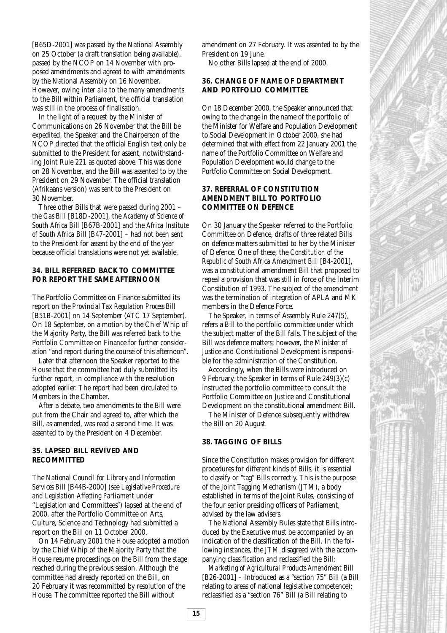[B65D-2001] was passed by the National Assembly on 25 October (a draft translation being available), passed by the NCOP on 14 November with proposed amendments and agreed to with amendments by the National Assembly on 16 November. However, owing inter alia to the many amendments to the Bill within Parliament, the official translation was still in the process of finalisation.

In the light of a request by the Minister of Communications on 26 November that the Bill be expedited, the Speaker and the Chairperson of the NCOP directed that the official English text only be submitted to the President for assent, notwithstanding Joint Rule 221 as quoted above. This was done on 28 November, and the Bill was assented to by the President on 29 November. The official translation (Afrikaans version) was sent to the President on 30 November.

Three other Bills that were passed during 2001 – the *Gas Bill* [B18D-2001], the *Academy of Science of South Africa Bill* [B67B-2001] and the *Africa Institute of South Africa Bill* [B47-2001] – had not been sent to the President for assent by the end of the year because official translations were not yet available.

#### **34. BILL REFERRED BACK TO COMMITTEE FOR REPORT THE SAME AFTERNOON**

The Portfolio Committee on Finance submitted its report on the *Provincial Tax Regulation Process Bill* [B51B-2001] on 14 September (ATC 17 September). On 18 September, on a motion by the Chief Whip of the Majority Party, the Bill was referred back to the Portfolio Committee on Finance for further consideration "and report during the course of this afternoon".

Later that afternoon the Speaker reported to the House that the committee had duly submitted its further report, in compliance with the resolution adopted earlier. The report had been circulated to Members in the Chamber.

After a debate, two amendments to the Bill were put from the Chair and agreed to, after which the Bill, as amended, was read a second time. It was assented to by the President on 4 December.

### **35. LAPSED BILL REVIVED AND RECOMMITTED**

The *National Council for Library and Information Services Bill* [B44B-2000] (see *Legislative Procedure and Legislation Affecting Parliament* under "Legislation and Committees") lapsed at the end of 2000, after the Portfolio Committee on Arts, Culture, Science and Technology had submitted a report on the Bill on 11 October 2000.

On 14 February 2001 the House adopted a motion by the Chief Whip of the Majority Party that the House resume proceedings on the Bill from the stage reached during the previous session. Although the committee had already reported on the Bill, on 20 February it was recommitted by resolution of the House. The committee reported the Bill without

amendment on 27 February. It was assented to by the President on 19 June.

No other Bills lapsed at the end of 2000.

#### **36. CHANGE OF NAME OF DEPARTMENT AND PORTFOLIO COMMITTEE**

On 18 December 2000, the Speaker announced that owing to the change in the name of the portfolio of the Minister for Welfare and Population Development to Social Development in October 2000, she had determined that with effect from 22 January 2001 the name of the Portfolio Committee on Welfare and Population Development would change to the Portfolio Committee on Social Development.

### **37. REFERRAL OF CONSTITUTION AMENDMENT BILL TO PORTFOLIO COMMITTEE ON DEFENCE**

On 30 January the Speaker referred to the Portfolio Committee on Defence, drafts of three related Bills on defence matters submitted to her by the Minister of Defence. One of these, the *Constitution of the Republic of South Africa Amendment Bill* [B4-2001], was a constitutional amendment Bill that proposed to repeal a provision that was still in force of the Interim Constitution of 1993. The subject of the amendment was the termination of integration of APLA and MK members in the Defence Force.

The Speaker, in terms of Assembly Rule 247(5), refers a Bill to the portfolio committee under which the subject matter of the Bill falls. The subject of the Bill was defence matters; however, the Minister of Justice and Constitutional Development is responsible for the administration of the Constitution.

Accordingly, when the Bills were introduced on 9 February, the Speaker in terms of Rule 249(3)(c) instructed the portfolio committee to consult the Portfolio Committee on Justice and Constitutional Development on the constitutional amendment Bill.

The Minister of Defence subsequently withdrew the Bill on 20 August.

# **38. TAGGING OF BILLS**

Since the Constitution makes provision for different procedures for different kinds of Bills, it is essential to classify or "tag" Bills correctly. This is the purpose of the Joint Tagging Mechanism (JTM), a body established in terms of the Joint Rules, consisting of the four senior presiding officers of Parliament, advised by the law advisers.

The National Assembly Rules state that Bills introduced by the Executive must be accompanied by an indication of the classification of the Bill. In the following instances, the JTM disagreed with the accompanying classification and reclassified the Bill:

*Marketing of Agricultural Products Amendment Bill* [B26-2001] – Introduced as a "section 75" Bill (a Bill relating to areas of national legislative competence); reclassified as a "section 76" Bill (a Bill relating to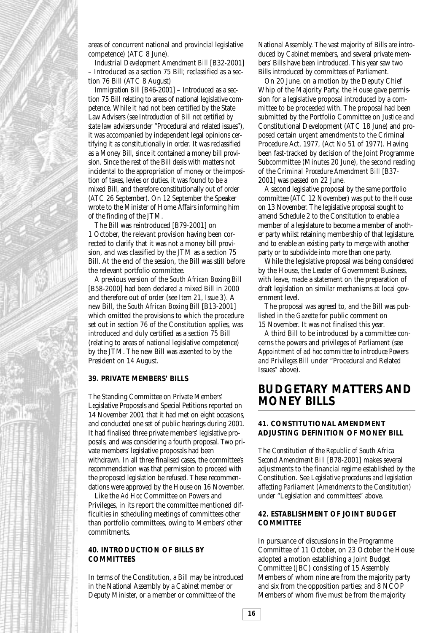

areas of concurrent national and provincial legislative competence) (ATC 8 June).

*Industrial Development Amendment Bill* [B32-2001] – Introduced as a section 75 Bill; reclassified as a section 76 Bill (ATC 8 August)

*Immigration Bill* [B46-2001] – Introduced as a section 75 Bill relating to areas of national legislative competence. While it had not been certified by the State Law Advisers (see *Introduction of Bill not certified by state law advisers* under "Procedural and related issues"), it was accompanied by independent legal opinions certifying it as constitutionally in order. It was reclassified as a Money Bill, since it contained a money bill provision. Since the rest of the Bill deals with matters not incidental to the appropriation of money or the imposition of taxes, levies or duties, it was found to be a mixed Bill, and therefore constitutionally out of order (ATC 26 September). On 12 September the Speaker wrote to the Minister of Home Affairs informing him of the finding of the JTM.

The Bill was reintroduced [B79-2001] on 1 October, the relevant provision having been corrected to clarify that it was not a money bill provision, and was classified by the JTM as a section 75 Bill. At the end of the session, the Bill was still before the relevant portfolio committee.

A previous version of the *South African Boxing Bill* [B58-2000] had been declared a mixed Bill in 2000 and therefore out of order (see *Item 21, Issue 3*). A new Bill, the *South African Boxing Bill* [B13-2001] which omitted the provisions to which the procedure set out in section 76 of the Constitution applies, was introduced and duly certified as a section 75 Bill (relating to areas of national legislative competence) by the JTM. The new Bill was assented to by the President on 14 August.

#### **39. PRIVATE MEMBERS' BILLS**

The Standing Committee on Private Members' Legislative Proposals and Special Petitions reported on 14 November 2001 that it had met on eight occasions, and conducted one set of public hearings during 2001. It had finalised three private members' legislative proposals, and was considering a fourth proposal. Two private members' legislative proposals had been withdrawn. In all three finalised cases, the committee's recommendation was that permission to proceed with the proposed legislation be refused. These recommendations were approved by the House on 16 November.

Like the *Ad Hoc* Committee on Powers and Privileges, in its report the committee mentioned difficulties in scheduling meetings of committees other than portfolio committees, owing to Members' other commitments.

#### **40. INTRODUCTION OF BILLS BY COMMITTEES**

In terms of the Constitution, a Bill may be introduced in the National Assembly by a Cabinet member or Deputy Minister, or a member or committee of the

National Assembly. The vast majority of Bills are introduced by Cabinet members, and several private members' Bills have been introduced. This year saw two Bills introduced by committees of Parliament.

On 20 June, on a motion by the Deputy Chief Whip of the Majority Party, the House gave permission for a legislative proposal introduced by a committee to be proceeded with. The proposal had been submitted by the Portfolio Committee on Justice and Constitutional Development (ATC 18 June) and proposed certain urgent amendments to the Criminal Procedure Act, 1977, (Act No 51 of 1977). Having been fast-tracked by decision of the Joint Programme Subcommittee (Minutes 20 June), the second reading of the *Criminal Procedure Amendment Bill* [B37- 2001] was passed on 22 June.

A second legislative proposal by the same portfolio committee (ATC 12 November) was put to the House on 13 November. The legislative proposal sought to amend Schedule 2 to the Constitution to enable a member of a legislature to become a member of another party whilst retaining membership of that legislature, and to enable an existing party to merge with another party or to subdivide into more than one party.

While the legislative proposal was being considered by the House, the Leader of Government Business, with leave, made a statement on the preparation of draft legislation on similar mechanisms at local government level.

The proposal was agreed to, and the Bill was published in the *Gazette* for public comment on 15 November. It was not finalised this year.

A third Bill to be introduced by a committee concerns the powers and privileges of Parliament (see *Appointment of ad hoc committee to introduce Powers and Privileges Bill* under "Procedural and Related Issues" above).

# **BUDGETARY MATTERS AND MONEY BILLS**

### **41. CONSTITUTIONAL AMENDMENT ADJUSTING DEFINITION OF MONEY BILL**

The *Constitution of the Republic of South Africa Second Amendment Bill* [B78-2001] makes several adjustments to the financial regime established by the Constitution. See *Legislative procedures and legislation affecting Parliament (Amendments to the Constitution)* under "Legislation and committees" above.

#### **42. ESTABLISHMENT OF JOINT BUDGET COMMITTEE**

In pursuance of discussions in the Programme Committee of 11 October, on 23 October the House adopted a motion establishing a Joint Budget Committee (JBC) consisting of 15 Assembly Members of whom nine are from the majority party and six from the opposition parties; and 8 NCOP Members of whom five must be from the majority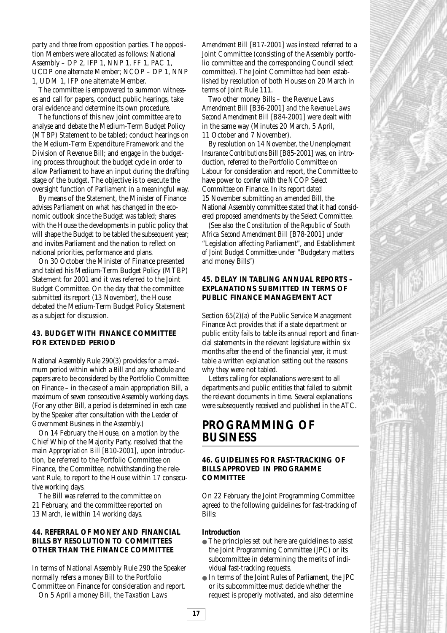party and three from opposition parties. The opposition Members were allocated as follows: National Assembly – DP 2, IFP 1, NNP 1, FF 1, PAC 1, UCDP one alternate Member; NCOP – DP 1, NNP 1, UDM 1, IFP one alternate Member.

The committee is empowered to summon witnesses and call for papers, conduct public hearings, take oral evidence and determine its own procedure.

The functions of this new joint committee are to analyse and debate the Medium-Term Budget Policy (MTBP) Statement to be tabled; conduct hearings on the Medium-Term Expenditure Framework and the Division of Revenue Bill; and engage in the budgeting process throughout the budget cycle in order to allow Parliament to have an input during the drafting stage of the budget. The objective is to execute the oversight function of Parliament in a meaningful way.

By means of the Statement, the Minister of Finance advises Parliament on what has changed in the economic outlook since the Budget was tabled; shares with the House the developments in public policy that will shape the Budget to be tabled the subsequent year; and invites Parliament and the nation to reflect on national priorities, performance and plans.

On 30 October the Minister of Finance presented and tabled his Medium-Term Budget Policy (MTBP) Statement for 2001 and it was referred to the Joint Budget Committee. On the day that the committee submitted its report (13 November), the House debated the Medium-Term Budget Policy Statement as a subject for discussion.

### **43. BUDGET WITH FINANCE COMMITTEE FOR EXTENDED PERIOD**

National Assembly Rule 290(3) provides for a maximum period within which a Bill and any schedule and papers are to be considered by the Portfolio Committee on Finance – in the case of a main appropriation Bill, a maximum of seven consecutive Assembly working days. (For any other Bill, a period is determined in each case by the Speaker after consultation with the Leader of Government Business in the Assembly.)

On 14 February the House, on a motion by the Chief Whip of the Majority Party, resolved that the main *Appropriation Bill* [B10-2001], upon introduction, be referred to the Portfolio Committee on Finance, the Committee, notwithstanding the relevant Rule, to report to the House within 17 consecutive working days.

The Bill was referred to the committee on 21 February, and the committee reported on 13 March, ie within 14 working days.

### **44. REFERRAL OF MONEY AND FINANCIAL BILLS BY RESOLUTION TO COMMITTEES OTHER THAN THE FINANCE COMMITTEE**

In terms of National Assembly Rule 290 the Speaker normally refers a money Bill to the Portfolio Committee on Finance for consideration and report. On 5 April a money Bill, the *Taxation Laws*

*Amendment Bill* [B17-2001] was instead referred to a Joint Committee (consisting of the Assembly portfolio committee and the corresponding Council select committee). The Joint Committee had been established by resolution of both Houses on 20 March in terms of Joint Rule 111.

Two other money Bills – the *Revenue Laws Amendment Bill* [B36-2001] and the *Revenue Laws Second Amendment Bill* [B84-2001] were dealt with in the same way (Minutes 20 March, 5 April, 11 October and 7 November).

By resolution on 14 November, the *Unemployment Insurance Contributions Bill* [B85-2001] was, on introduction, referred to the Portfolio Committee on Labour for consideration and report, the Committee to have power to confer with the NCOP Select Committee on Finance. In its report dated 15 November submitting an amended Bill, the National Assembly committee stated that it had considered proposed amendments by the Select Committee.

(See also the *Constitution of the Republic of South Africa Second Amendment Bill* [B78-2001] under "Legislation affecting Parliament", and *Establishment of Joint Budget Committee* under "Budgetary matters and money Bills")

# **45. DELAY IN TABLING ANNUAL REPORTS – EXPLANATIONS SUBMITTED IN TERMS OF PUBLIC FINANCE MANAGEMENT ACT**

Section 65(2)(a) of the Public Service Management Finance Act provides that if a state department or public entity fails to table its annual report and financial statements in the relevant legislature within six months after the end of the financial year, it must table a written explanation setting out the reasons why they were not tabled.

Letters calling for explanations were sent to all departments and public entities that failed to submit the relevant documents in time. Several explanations were subsequently received and published in the ATC.

# **PROGRAMMING OF BUSINESS**

#### **46. GUIDELINES FOR FAST-TRACKING OF BILLS APPROVED IN PROGRAMME COMMITTEE**

On 22 February the Joint Programming Committee agreed to the following guidelines for fast-tracking of Bills:

#### **Introduction**

- The principles set out here are guidelines to assist the Joint Programming Committee (JPC) or its subcommittee in determining the merits of individual fast-tracking requests.
- In terms of the Joint Rules of Parliament, the JPC or its subcommittee must decide whether the request is properly motivated, and also determine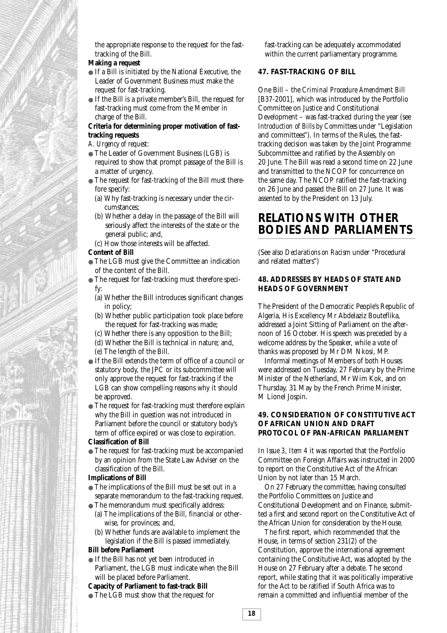

the appropriate response to the request for the fasttracking of the Bill.

# **Making a request**

- If a Bill is initiated by the National Executive, the Leader of Government Business must make the request for fast-tracking.
- If the Bill is a private member's Bill, the request for fast-tracking must come from the Member in charge of the Bill.

### **Criteria for determining proper motivation of fasttracking requests**

- *A. Urgency of request:*
- The Leader of Government Business (LGB) is required to show that prompt passage of the Bill is a matter of urgency.
- The request for fast-tracking of the Bill must therefore specify:
	- (a) Why fast-tracking is necessary under the circumstances;
	- (b) Whether a delay in the passage of the Bill will seriously affect the interests of the state or the general public; and,
	- (c) How those interests will be affected.

#### **Content of Bill**

- The LGB must give the Committee an indication of the content of the Bill.
- The request for fast-tracking must therefore specify:
	- (a) Whether the Bill introduces significant changes in policy;
	- (b) Whether public participation took place before the request for fast-tracking was made;
	- (c) Whether there is any opposition to the Bill;
	- (d) Whether the Bill is technical in nature; and,
	- (e) The length of the Bill.
- If the Bill extends the term of office of a council or statutory body, the JPC or its subcommittee will only approve the request for fast-tracking if the LGB can show compelling reasons why it should be approved.
- The request for fast-tracking must therefore explain why the Bill in question was not introduced in Parliament before the council or statutory body's term of office expired or was close to expiration.

#### **Classification of Bill**

● The request for fast-tracking must be accompanied by an opinion from the State Law Adviser on the classification of the Bill.

#### **Implications of Bill**

- The implications of the Bill must be set out in a separate memorandum to the fast-tracking request.
- The memorandum must specifically address:
	- (a) The implications of the Bill, financial or otherwise, for provinces; and,
	- (b) Whether funds are available to implement the legislation if the Bill is passed immediately.

#### **Bill before Parliament**

● If the Bill has not yet been introduced in Parliament, the LGB must indicate when the Bill will be placed before Parliament.

#### **Capacity of Parliament to fast-track Bill**

● The LGB must show that the request for

fast-tracking can be adequately accommodated within the current parliamentary programme.

#### **47. FAST-TRACKING OF BILL**

One Bill – the *Criminal Procedure Amendment Bill* [B37-2001], which was introduced by the Portfolio Committee on Justice and Constitutional Development – was fast-tracked during the year (see *Introduction of Bills by Committees* under "Legislation and committees"). In terms of the Rules, the fasttracking decision was taken by the Joint Programme Subcommittee and ratified by the Assembly on 20 June. The Bill was read a second time on 22 June and transmitted to the NCOP for concurrence on the same day. The NCOP ratified the fast-tracking on 26 June and passed the Bill on 27 June. It was assented to by the President on 13 July.

# **RELATIONS WITH OTHER BODIES AND PARLIAMENTS**

(See also *Declarations on Racism* under "Procedural and related matters")

#### **48. ADDRESSES BY HEADS OF STATE AND HEADS OF GOVERNMENT**

The President of the Democratic People's Republic of Algeria, His Excellency Mr Abdelaziz Bouteflika, addressed a Joint Sitting of Parliament on the afternoon of 16 October. His speech was preceded by a welcome address by the Speaker, while a vote of thanks was proposed by Mr DM Nkosi, MP.

Informal meetings of Members of both Houses were addressed on Tuesday, 27 February by the Prime Minister of the Netherland, Mr Wim Kok, and on Thursday, 31 May by the French Prime Minister, M Lionel Jospin.

#### **49. CONSIDERATION OF CONSTITUTIVE ACT OF AFRICAN UNION AND DRAFT PROTOCOL OF PAN-AFRICAN PARLIAMENT**

In *Issue 3, Item 4* it was reported that the Portfolio Committee on Foreign Affairs was instructed in 2000 to report on the Constitutive Act of the African Union by not later than 15 March.

On 27 February the committee, having consulted the Portfolio Committees on Justice and Constitutional Development and on Finance, submitted a first and second report on the Constitutive Act of the African Union for consideration by the House.

The first report, which recommended that the House, in terms of section 231(2) of the Constitution, approve the international agreement containing the Constitutive Act, was adopted by the House on 27 February after a debate. The second report, while stating that it was politically imperative for the Act to be ratified if South Africa was to remain a committed and influential member of the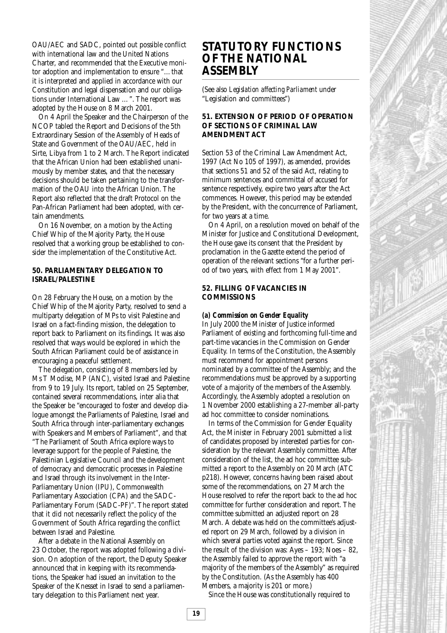OAU/AEC and SADC, pointed out possible conflict with international law and the United Nations Charter, and recommended that the Executive monitor adoption and implementation to ensure "…that it is interpreted and applied in accordance with our Constitution and legal dispensation and our obligations under International Law …". The report was adopted by the House on 8 March 2001.

On 4 April the Speaker and the Chairperson of the NCOP tabled the Report and Decisions of the 5th Extraordinary Session of the Assembly of Heads of State and Government of the OAU/AEC, held in Sirte, Libya from 1 to 2 March. The Report indicated that the African Union had been established unanimously by member states, and that the necessary decisions should be taken pertaining to the transformation of the OAU into the African Union. The Report also reflected that the draft Protocol on the Pan-African Parliament had been adopted, with certain amendments.

On 16 November, on a motion by the Acting Chief Whip of the Majority Party, the House resolved that a working group be established to consider the implementation of the Constitutive Act.

### **50. PARLIAMENTARY DELEGATION TO ISRAEL/PALESTINE**

On 28 February the House, on a motion by the Chief Whip of the Majority Party, resolved to send a multiparty delegation of MPs to visit Palestine and Israel on a fact-finding mission, the delegation to report back to Parliament on its findings. It was also resolved that ways would be explored in which the South African Parliament could be of assistance in encouraging a peaceful settlement.

The delegation, consisting of 8 members led by Ms T Modise, MP (ANC), visited Israel and Palestine from 9 to 19 July. Its report, tabled on 25 September, contained several recommendations, inter alia that the Speaker be "encouraged to foster and develop dialogue amongst the Parliaments of Palestine, Israel and South Africa through inter-parliamentary exchanges with Speakers and Members of Parliament", and that "The Parliament of South Africa explore ways to leverage support for the people of Palestine, the Palestinian Legislative Council and the development of democracy and democratic processes in Palestine and Israel through its involvement in the Inter-Parliamentary Union (IPU), Commonwealth Parliamentary Association (CPA) and the SADC-Parliamentary Forum (SADC-PF)". The report stated that it did not necessarily reflect the policy of the Government of South Africa regarding the conflict between Israel and Palestine.

After a debate in the National Assembly on 23 October, the report was adopted following a division. On adoption of the report, the Deputy Speaker announced that in keeping with its recommendations, the Speaker had issued an invitation to the Speaker of the Knesset in Israel to send a parliamentary delegation to this Parliament next year.

# **STATUTORY FUNCTIONS OF THE NATIONAL ASSEMBLY**

(See also *Legislation affecting Parliament* under "Legislation and committees")

### **51. EXTENSION OF PERIOD OF OPERATION OF SECTIONS OF CRIMINAL LAW AMENDMENT ACT**

Section 53 of the Criminal Law Amendment Act, 1997 (Act No 105 of 1997), as amended, provides that sections 51 and 52 of the said Act, relating to minimum sentences and committal of accused for sentence respectively, expire two years after the Act commences. However, this period may be extended by the President, with the concurrence of Parliament, for two years at a time.

On 4 April, on a resolution moved on behalf of the Minister for Justice and Constitutional Development, the House gave its consent that the President by proclamation in the Gazette extend the period of operation of the relevant sections "for a further period of two years, with effect from 1 May 2001".

#### **52. FILLING OF VACANCIES IN COMMISSIONS**

#### *(a) Commission on Gender Equality*

In July 2000 the Minister of Justice informed Parliament of existing and forthcoming full-time and part-time vacancies in the Commission on Gender Equality. In terms of the Constitution, the Assembly must recommend for appointment persons nominated by a committee of the Assembly; and the recommendations must be approved by a supporting vote of a majority of the members of the Assembly. Accordingly, the Assembly adopted a resolution on 1 November 2000 establishing a 27-member all-party ad hoc committee to consider nominations.

In terms of the Commission for Gender Equality Act, the Minister in February 2001 submitted a list of candidates proposed by interested parties for consideration by the relevant Assembly committee. After consideration of the list, the ad hoc committee submitted a report to the Assembly on 20 March (ATC p218). However, concerns having been raised about some of the recommendations, on 27 March the House resolved to refer the report back to the ad hoc committee for further consideration and report. The committee submitted an adjusted report on 28 March. A debate was held on the committee's adjusted report on 29 March, followed by a division in which several parties voted against the report. Since the result of the division was: Ayes – 193; Noes – 82, the Assembly failed to approve the report with "a majority of the members of the Assembly" as required by the Constitution. (As the Assembly has 400 Members, a majority is 201 or more.)

Since the House was constitutionally required to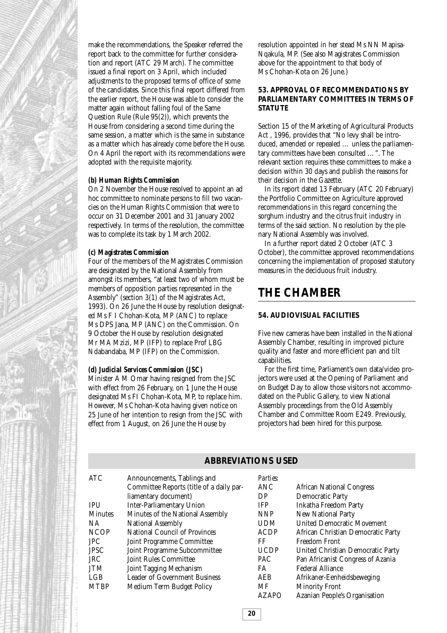make the recommendations, the Speaker referred the report back to the committee for further consideration and report (ATC 29 March). The committee issued a final report on 3 April, which included adjustments to the proposed terms of office of some of the candidates. Since this final report differed from the earlier report, the House was able to consider the matter again without falling foul of the Same Question Rule (Rule 95(2)), which prevents the House from considering a second time during the same session, a matter which is the same in substance as a matter which has already come before the House. On 4 April the report with its recommendations were adopted with the requisite majority.

#### *(b) Human Rights Commission*

On 2 November the House resolved to appoint an ad hoc committee to nominate persons to fill two vacancies on the Human Rights Commission that were to occur on 31 December 2001 and 31 January 2002 respectively. In terms of the resolution, the committee was to complete its task by 1 March 2002.

#### *(c) Magistrates Commission*

Four of the members of the Magistrates Commission are designated by the National Assembly from amongst its members, "at least two of whom must be members of opposition parties represented in the Assembly" (section 3(1) of the Magistrates Act, 1993). On 26 June the House by resolution designated Ms F I Chohan-Kota, MP (ANC) to replace Ms DPS Jana, MP (ANC) on the Commission. On 9 October the House by resolution designated Mr MA Mzizi, MP (IFP) to replace Prof LBG Ndabandaba, MP (IFP) on the Commission.

#### *(d) Judicial Services Commission (JSC)*

Minister A M Omar having resigned from the JSC with effect from 26 February, on 1 June the House designated Ms FI Chohan-Kota, MP, to replace him. However, Ms Chohan-Kota having given notice on 25 June of her intention to resign from the JSC with effect from 1 August, on 26 June the House by

resolution appointed in her stead Ms NN Mapisa-Nqakula, MP. (See also Magistrates Commission above for the appointment to that body of Ms Chohan-Kota on 26 June.)

### **53. APPROVAL OF RECOMMENDATIONS BY PARLIAMENTARY COMMITTEES IN TERMS OF STATUTE**

Section 15 of the Marketing of Agricultural Products Act , 1996, provides that "No levy shall be introduced, amended or repealed … unless the parliamentary committees have been consulted …". The relevant section requires these committees to make a decision within 30 days and publish the reasons for their decision in the Gazette.

In its report dated 13 February (ATC 20 February) the Portfolio Committee on Agriculture approved recommendations in this regard concerning the sorghum industry and the citrus fruit industry in terms of the said section. No resolution by the plenary National Assembly was involved.

In a further report dated 2 October (ATC 3 October), the committee approved recommendations concerning the implementation of proposed statutory measures in the deciduous fruit industry.

# **THE CHAMBER**

#### **54. AUDIOVISUAL FACILITIES**

Five new cameras have been installed in the National Assembly Chamber, resulting in improved picture quality and faster and more efficient pan and tilt capabilities.

For the first time, Parliament's own data/video projectors were used at the Opening of Parliament and on Budget Day to allow those visitors not accommodated on the Public Gallery, to view National Assembly proceedings from the Old Assembly Chamber and Committee Room E249. Previously, projectors had been hired for this purpose.

#### ATC Announcements, Tablings and Committee Reports (title of a daily parliamentary document) IPU Inter-Parliamentary Union Minutes Minutes of the National Assembly NA National Assembly NCOP National Council of Provinces<br>
JPC Joint Programme Committee Joint Programme Committee JPSC Joint Programme Subcommittee JRC Joint Rules Committee JTM Joint Tagging Mechanism LGB Leader of Government Business MTBP Medium Term Budget Policy *Parties:* ANC African National Congress DP Democratic Party<br>
IFP Inkatha Freedom Inkatha Freedom Party NNP New National Party UDM United Democratic Movement ACDP African Christian Democratic Party FF Freedom Front UCDP United Christian Democratic Party PAC Pan Africanist Congress of Azania FA Federal Alliance AEB Afrikaner-Eenheidsbeweging MF Minority Front AZAPO Azanian People's Organisation

**ABBREVIATIONS USED**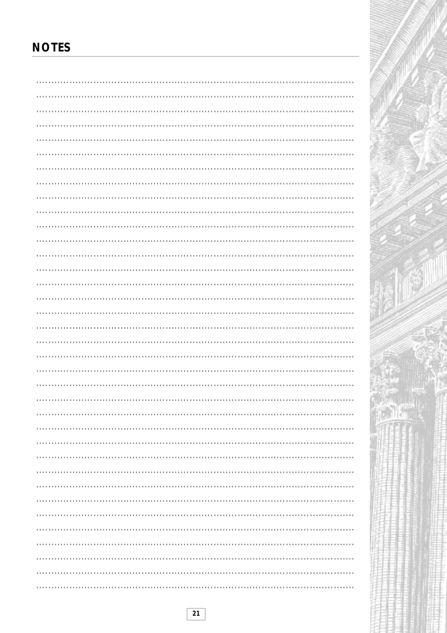# **NOTES**